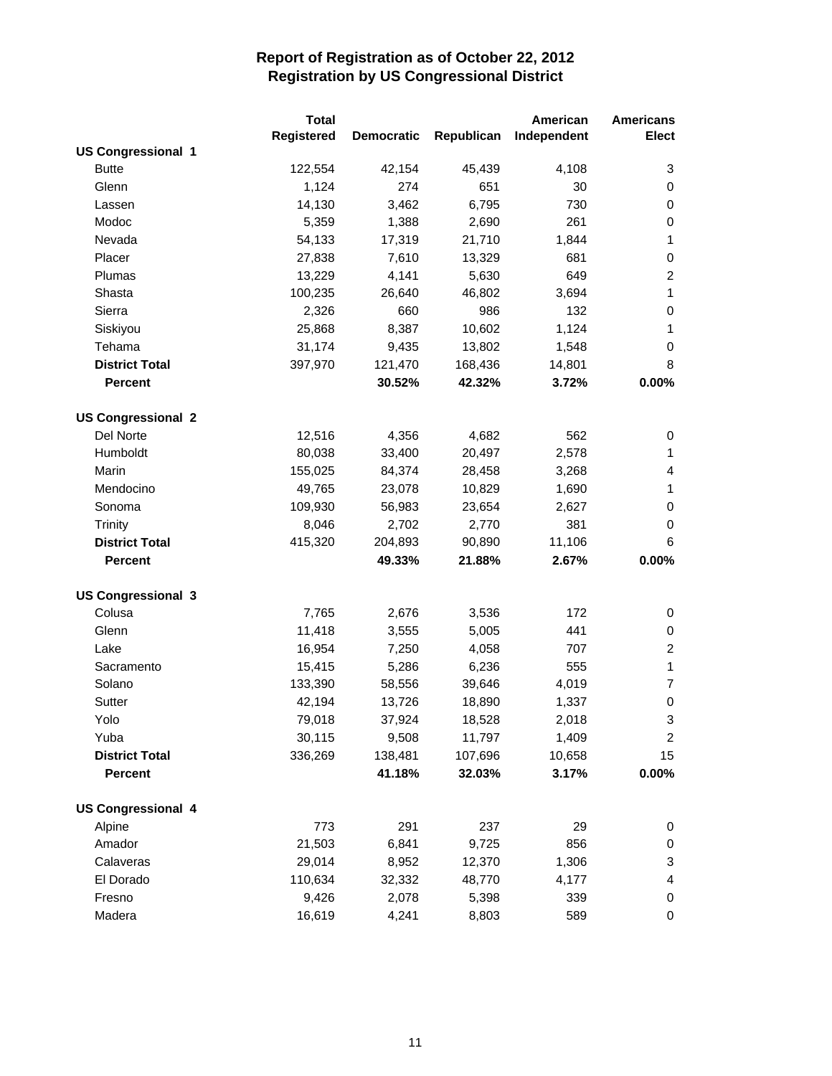|                           | <b>Total</b> |                   |            | American    | <b>Americans</b> |
|---------------------------|--------------|-------------------|------------|-------------|------------------|
|                           | Registered   | <b>Democratic</b> | Republican | Independent | <b>Elect</b>     |
| <b>US Congressional 1</b> |              |                   |            |             |                  |
| <b>Butte</b>              | 122,554      | 42,154            | 45,439     | 4,108       | 3                |
| Glenn                     | 1,124        | 274               | 651        | 30          | 0                |
| Lassen                    | 14,130       | 3,462             | 6,795      | 730         | 0                |
| Modoc                     | 5,359        | 1,388             | 2,690      | 261         | 0                |
| Nevada                    | 54,133       | 17,319            | 21,710     | 1,844       | $\mathbf{1}$     |
| Placer                    | 27,838       | 7,610             | 13,329     | 681         | 0                |
| Plumas                    | 13,229       | 4,141             | 5,630      | 649         | $\overline{2}$   |
| Shasta                    | 100,235      | 26,640            | 46,802     | 3,694       | $\mathbf{1}$     |
| Sierra                    | 2,326        | 660               | 986        | 132         | 0                |
| Siskiyou                  | 25,868       | 8,387             | 10,602     | 1,124       | 1                |
| Tehama                    | 31,174       | 9,435             | 13,802     | 1,548       | 0                |
| <b>District Total</b>     | 397,970      | 121,470           | 168,436    | 14,801      | 8                |
| <b>Percent</b>            |              | 30.52%            | 42.32%     | 3.72%       | 0.00%            |
| <b>US Congressional 2</b> |              |                   |            |             |                  |
| Del Norte                 | 12,516       | 4,356             | 4,682      | 562         | 0                |
| Humboldt                  | 80,038       | 33,400            | 20,497     | 2,578       | 1                |
| Marin                     | 155,025      | 84,374            | 28,458     | 3,268       | 4                |
| Mendocino                 | 49,765       | 23,078            | 10,829     | 1,690       | $\mathbf{1}$     |
| Sonoma                    | 109,930      | 56,983            | 23,654     | 2,627       | 0                |
| Trinity                   | 8,046        | 2,702             | 2,770      | 381         | 0                |
| <b>District Total</b>     | 415,320      | 204,893           | 90,890     | 11,106      | 6                |
| <b>Percent</b>            |              | 49.33%            | 21.88%     | 2.67%       | 0.00%            |
| <b>US Congressional 3</b> |              |                   |            |             |                  |
| Colusa                    | 7,765        | 2,676             | 3,536      | 172         | 0                |
| Glenn                     | 11,418       | 3,555             | 5,005      | 441         | 0                |
| Lake                      | 16,954       | 7,250             | 4,058      | 707         | $\overline{c}$   |
| Sacramento                | 15,415       | 5,286             | 6,236      | 555         | $\mathbf{1}$     |
| Solano                    | 133,390      | 58,556            | 39,646     | 4,019       | 7                |
| Sutter                    | 42,194       | 13,726            | 18,890     | 1,337       | 0                |
| Yolo                      | 79,018       | 37,924            | 18,528     | 2,018       | 3                |
| Yuba                      | 30,115       | 9,508             | 11,797     | 1,409       | $\overline{2}$   |
| <b>District Total</b>     | 336,269      | 138,481           | 107,696    | 10,658      | 15               |
| <b>Percent</b>            |              | 41.18%            | 32.03%     | 3.17%       | $0.00\%$         |
| <b>US Congressional 4</b> |              |                   |            |             |                  |
| Alpine                    | 773          | 291               | 237        | 29          | 0                |
| Amador                    | 21,503       | 6,841             | 9,725      | 856         | 0                |
| Calaveras                 | 29,014       | 8,952             | 12,370     | 1,306       | 3                |
| El Dorado                 | 110,634      | 32,332            | 48,770     | 4,177       | 4                |
| Fresno                    | 9,426        | 2,078             | 5,398      | 339         | 0                |
| Madera                    | 16,619       | 4,241             | 8,803      | 589         | 0                |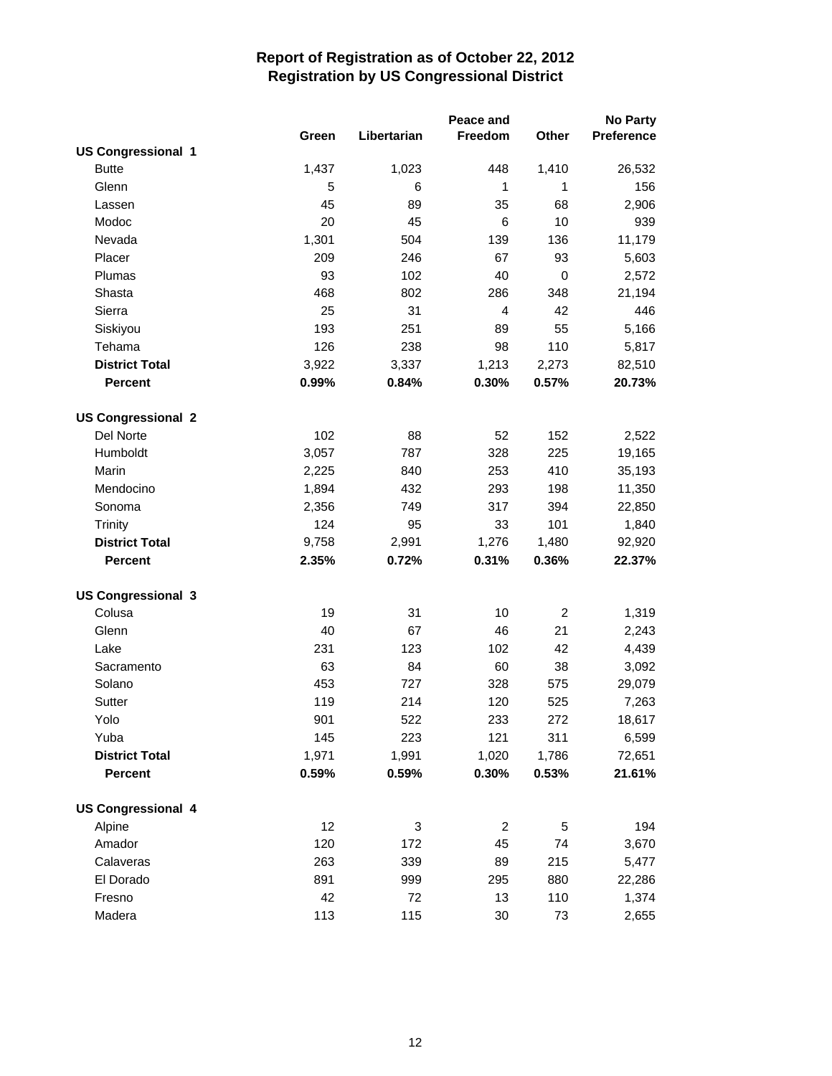| Libertarian<br>Freedom<br>Other<br>Preference<br>Green<br><b>US Congressional 1</b><br><b>Butte</b><br>1,437<br>1,023<br>448<br>1,410<br>26,532<br>Glenn<br>5<br>$\mathbf{1}$<br>$\mathbf{1}$<br>6<br>156<br>45<br>89<br>35<br>68<br>2,906<br>Lassen<br>45<br>10<br>Modoc<br>20<br>6<br>939<br>1,301<br>Nevada<br>504<br>139<br>136<br>11,179<br>Placer<br>209<br>93<br>246<br>67<br>5,603<br>Plumas<br>93<br>102<br>40<br>0<br>2,572<br>Shasta<br>468<br>802<br>286<br>348<br>21,194<br>Sierra<br>25<br>31<br>$\overline{4}$<br>42<br>446<br>193<br>55<br>Siskiyou<br>251<br>89<br>5,166<br>Tehama<br>126<br>110<br>238<br>98<br>5,817<br><b>District Total</b><br>3,922<br>3,337<br>1,213<br>2,273<br>82,510<br>0.99%<br><b>Percent</b><br>0.84%<br>0.30%<br>0.57%<br>20.73%<br><b>US Congressional 2</b><br>Del Norte<br>102<br>88<br>52<br>152<br>2,522<br>Humboldt<br>3,057<br>787<br>328<br>225<br>19,165<br>Marin<br>2,225<br>840<br>253<br>410<br>35,193<br>Mendocino<br>1,894<br>432<br>293<br>198<br>11,350<br>Sonoma<br>2,356<br>749<br>317<br>394<br>22,850<br>101<br><b>Trinity</b><br>124<br>95<br>33<br>1,840<br><b>District Total</b><br>2,991<br>1,276<br>1,480<br>92,920<br>9,758<br><b>Percent</b><br>2.35%<br>0.72%<br>0.31%<br>0.36%<br>22.37%<br><b>US Congressional 3</b><br>Colusa<br>19<br>31<br>10<br>$\overline{c}$<br>1,319<br>Glenn<br>40<br>67<br>46<br>21<br>2,243<br>Lake<br>231<br>123<br>102<br>42<br>4,439<br>63<br>84<br>60<br>38<br>3,092<br>Sacramento<br>Solano<br>453<br>727<br>328<br>575<br>29,079<br>Sutter<br>119<br>214<br>120<br>525<br>7,263<br>901<br>522<br>Yolo<br>233<br>272<br>18,617<br>Yuba<br>145<br>223<br>121<br>311<br>6,599<br><b>District Total</b><br>1,971<br>1,991<br>1,020<br>1,786<br>72,651<br><b>Percent</b><br>0.59%<br>0.59%<br>0.30%<br>0.53%<br>21.61%<br><b>US Congressional 4</b><br>12<br>Alpine<br>3<br>5<br>194<br>$\overline{2}$<br>Amador<br>120<br>172<br>45<br>74<br>3,670<br>Calaveras<br>263<br>339<br>89<br>215<br>5,477<br>El Dorado<br>891<br>999<br>295<br>880<br>22,286<br>42<br>110<br>Fresno<br>72<br>13<br>1,374 |        |     |     | Peace and |    | <b>No Party</b> |
|------------------------------------------------------------------------------------------------------------------------------------------------------------------------------------------------------------------------------------------------------------------------------------------------------------------------------------------------------------------------------------------------------------------------------------------------------------------------------------------------------------------------------------------------------------------------------------------------------------------------------------------------------------------------------------------------------------------------------------------------------------------------------------------------------------------------------------------------------------------------------------------------------------------------------------------------------------------------------------------------------------------------------------------------------------------------------------------------------------------------------------------------------------------------------------------------------------------------------------------------------------------------------------------------------------------------------------------------------------------------------------------------------------------------------------------------------------------------------------------------------------------------------------------------------------------------------------------------------------------------------------------------------------------------------------------------------------------------------------------------------------------------------------------------------------------------------------------------------------------------------------------------------------------------------------------------------------------------------------------------------------------------------------------------------------------------------------------------------------|--------|-----|-----|-----------|----|-----------------|
|                                                                                                                                                                                                                                                                                                                                                                                                                                                                                                                                                                                                                                                                                                                                                                                                                                                                                                                                                                                                                                                                                                                                                                                                                                                                                                                                                                                                                                                                                                                                                                                                                                                                                                                                                                                                                                                                                                                                                                                                                                                                                                            |        |     |     |           |    |                 |
|                                                                                                                                                                                                                                                                                                                                                                                                                                                                                                                                                                                                                                                                                                                                                                                                                                                                                                                                                                                                                                                                                                                                                                                                                                                                                                                                                                                                                                                                                                                                                                                                                                                                                                                                                                                                                                                                                                                                                                                                                                                                                                            |        |     |     |           |    |                 |
|                                                                                                                                                                                                                                                                                                                                                                                                                                                                                                                                                                                                                                                                                                                                                                                                                                                                                                                                                                                                                                                                                                                                                                                                                                                                                                                                                                                                                                                                                                                                                                                                                                                                                                                                                                                                                                                                                                                                                                                                                                                                                                            |        |     |     |           |    |                 |
|                                                                                                                                                                                                                                                                                                                                                                                                                                                                                                                                                                                                                                                                                                                                                                                                                                                                                                                                                                                                                                                                                                                                                                                                                                                                                                                                                                                                                                                                                                                                                                                                                                                                                                                                                                                                                                                                                                                                                                                                                                                                                                            |        |     |     |           |    |                 |
|                                                                                                                                                                                                                                                                                                                                                                                                                                                                                                                                                                                                                                                                                                                                                                                                                                                                                                                                                                                                                                                                                                                                                                                                                                                                                                                                                                                                                                                                                                                                                                                                                                                                                                                                                                                                                                                                                                                                                                                                                                                                                                            |        |     |     |           |    |                 |
|                                                                                                                                                                                                                                                                                                                                                                                                                                                                                                                                                                                                                                                                                                                                                                                                                                                                                                                                                                                                                                                                                                                                                                                                                                                                                                                                                                                                                                                                                                                                                                                                                                                                                                                                                                                                                                                                                                                                                                                                                                                                                                            |        |     |     |           |    |                 |
|                                                                                                                                                                                                                                                                                                                                                                                                                                                                                                                                                                                                                                                                                                                                                                                                                                                                                                                                                                                                                                                                                                                                                                                                                                                                                                                                                                                                                                                                                                                                                                                                                                                                                                                                                                                                                                                                                                                                                                                                                                                                                                            |        |     |     |           |    |                 |
|                                                                                                                                                                                                                                                                                                                                                                                                                                                                                                                                                                                                                                                                                                                                                                                                                                                                                                                                                                                                                                                                                                                                                                                                                                                                                                                                                                                                                                                                                                                                                                                                                                                                                                                                                                                                                                                                                                                                                                                                                                                                                                            |        |     |     |           |    |                 |
|                                                                                                                                                                                                                                                                                                                                                                                                                                                                                                                                                                                                                                                                                                                                                                                                                                                                                                                                                                                                                                                                                                                                                                                                                                                                                                                                                                                                                                                                                                                                                                                                                                                                                                                                                                                                                                                                                                                                                                                                                                                                                                            |        |     |     |           |    |                 |
|                                                                                                                                                                                                                                                                                                                                                                                                                                                                                                                                                                                                                                                                                                                                                                                                                                                                                                                                                                                                                                                                                                                                                                                                                                                                                                                                                                                                                                                                                                                                                                                                                                                                                                                                                                                                                                                                                                                                                                                                                                                                                                            |        |     |     |           |    |                 |
|                                                                                                                                                                                                                                                                                                                                                                                                                                                                                                                                                                                                                                                                                                                                                                                                                                                                                                                                                                                                                                                                                                                                                                                                                                                                                                                                                                                                                                                                                                                                                                                                                                                                                                                                                                                                                                                                                                                                                                                                                                                                                                            |        |     |     |           |    |                 |
|                                                                                                                                                                                                                                                                                                                                                                                                                                                                                                                                                                                                                                                                                                                                                                                                                                                                                                                                                                                                                                                                                                                                                                                                                                                                                                                                                                                                                                                                                                                                                                                                                                                                                                                                                                                                                                                                                                                                                                                                                                                                                                            |        |     |     |           |    |                 |
|                                                                                                                                                                                                                                                                                                                                                                                                                                                                                                                                                                                                                                                                                                                                                                                                                                                                                                                                                                                                                                                                                                                                                                                                                                                                                                                                                                                                                                                                                                                                                                                                                                                                                                                                                                                                                                                                                                                                                                                                                                                                                                            |        |     |     |           |    |                 |
|                                                                                                                                                                                                                                                                                                                                                                                                                                                                                                                                                                                                                                                                                                                                                                                                                                                                                                                                                                                                                                                                                                                                                                                                                                                                                                                                                                                                                                                                                                                                                                                                                                                                                                                                                                                                                                                                                                                                                                                                                                                                                                            |        |     |     |           |    |                 |
|                                                                                                                                                                                                                                                                                                                                                                                                                                                                                                                                                                                                                                                                                                                                                                                                                                                                                                                                                                                                                                                                                                                                                                                                                                                                                                                                                                                                                                                                                                                                                                                                                                                                                                                                                                                                                                                                                                                                                                                                                                                                                                            |        |     |     |           |    |                 |
|                                                                                                                                                                                                                                                                                                                                                                                                                                                                                                                                                                                                                                                                                                                                                                                                                                                                                                                                                                                                                                                                                                                                                                                                                                                                                                                                                                                                                                                                                                                                                                                                                                                                                                                                                                                                                                                                                                                                                                                                                                                                                                            |        |     |     |           |    |                 |
|                                                                                                                                                                                                                                                                                                                                                                                                                                                                                                                                                                                                                                                                                                                                                                                                                                                                                                                                                                                                                                                                                                                                                                                                                                                                                                                                                                                                                                                                                                                                                                                                                                                                                                                                                                                                                                                                                                                                                                                                                                                                                                            |        |     |     |           |    |                 |
|                                                                                                                                                                                                                                                                                                                                                                                                                                                                                                                                                                                                                                                                                                                                                                                                                                                                                                                                                                                                                                                                                                                                                                                                                                                                                                                                                                                                                                                                                                                                                                                                                                                                                                                                                                                                                                                                                                                                                                                                                                                                                                            |        |     |     |           |    |                 |
|                                                                                                                                                                                                                                                                                                                                                                                                                                                                                                                                                                                                                                                                                                                                                                                                                                                                                                                                                                                                                                                                                                                                                                                                                                                                                                                                                                                                                                                                                                                                                                                                                                                                                                                                                                                                                                                                                                                                                                                                                                                                                                            |        |     |     |           |    |                 |
|                                                                                                                                                                                                                                                                                                                                                                                                                                                                                                                                                                                                                                                                                                                                                                                                                                                                                                                                                                                                                                                                                                                                                                                                                                                                                                                                                                                                                                                                                                                                                                                                                                                                                                                                                                                                                                                                                                                                                                                                                                                                                                            |        |     |     |           |    |                 |
|                                                                                                                                                                                                                                                                                                                                                                                                                                                                                                                                                                                                                                                                                                                                                                                                                                                                                                                                                                                                                                                                                                                                                                                                                                                                                                                                                                                                                                                                                                                                                                                                                                                                                                                                                                                                                                                                                                                                                                                                                                                                                                            |        |     |     |           |    |                 |
|                                                                                                                                                                                                                                                                                                                                                                                                                                                                                                                                                                                                                                                                                                                                                                                                                                                                                                                                                                                                                                                                                                                                                                                                                                                                                                                                                                                                                                                                                                                                                                                                                                                                                                                                                                                                                                                                                                                                                                                                                                                                                                            |        |     |     |           |    |                 |
|                                                                                                                                                                                                                                                                                                                                                                                                                                                                                                                                                                                                                                                                                                                                                                                                                                                                                                                                                                                                                                                                                                                                                                                                                                                                                                                                                                                                                                                                                                                                                                                                                                                                                                                                                                                                                                                                                                                                                                                                                                                                                                            |        |     |     |           |    |                 |
|                                                                                                                                                                                                                                                                                                                                                                                                                                                                                                                                                                                                                                                                                                                                                                                                                                                                                                                                                                                                                                                                                                                                                                                                                                                                                                                                                                                                                                                                                                                                                                                                                                                                                                                                                                                                                                                                                                                                                                                                                                                                                                            |        |     |     |           |    |                 |
|                                                                                                                                                                                                                                                                                                                                                                                                                                                                                                                                                                                                                                                                                                                                                                                                                                                                                                                                                                                                                                                                                                                                                                                                                                                                                                                                                                                                                                                                                                                                                                                                                                                                                                                                                                                                                                                                                                                                                                                                                                                                                                            |        |     |     |           |    |                 |
|                                                                                                                                                                                                                                                                                                                                                                                                                                                                                                                                                                                                                                                                                                                                                                                                                                                                                                                                                                                                                                                                                                                                                                                                                                                                                                                                                                                                                                                                                                                                                                                                                                                                                                                                                                                                                                                                                                                                                                                                                                                                                                            |        |     |     |           |    |                 |
|                                                                                                                                                                                                                                                                                                                                                                                                                                                                                                                                                                                                                                                                                                                                                                                                                                                                                                                                                                                                                                                                                                                                                                                                                                                                                                                                                                                                                                                                                                                                                                                                                                                                                                                                                                                                                                                                                                                                                                                                                                                                                                            |        |     |     |           |    |                 |
|                                                                                                                                                                                                                                                                                                                                                                                                                                                                                                                                                                                                                                                                                                                                                                                                                                                                                                                                                                                                                                                                                                                                                                                                                                                                                                                                                                                                                                                                                                                                                                                                                                                                                                                                                                                                                                                                                                                                                                                                                                                                                                            |        |     |     |           |    |                 |
|                                                                                                                                                                                                                                                                                                                                                                                                                                                                                                                                                                                                                                                                                                                                                                                                                                                                                                                                                                                                                                                                                                                                                                                                                                                                                                                                                                                                                                                                                                                                                                                                                                                                                                                                                                                                                                                                                                                                                                                                                                                                                                            |        |     |     |           |    |                 |
|                                                                                                                                                                                                                                                                                                                                                                                                                                                                                                                                                                                                                                                                                                                                                                                                                                                                                                                                                                                                                                                                                                                                                                                                                                                                                                                                                                                                                                                                                                                                                                                                                                                                                                                                                                                                                                                                                                                                                                                                                                                                                                            |        |     |     |           |    |                 |
|                                                                                                                                                                                                                                                                                                                                                                                                                                                                                                                                                                                                                                                                                                                                                                                                                                                                                                                                                                                                                                                                                                                                                                                                                                                                                                                                                                                                                                                                                                                                                                                                                                                                                                                                                                                                                                                                                                                                                                                                                                                                                                            |        |     |     |           |    |                 |
|                                                                                                                                                                                                                                                                                                                                                                                                                                                                                                                                                                                                                                                                                                                                                                                                                                                                                                                                                                                                                                                                                                                                                                                                                                                                                                                                                                                                                                                                                                                                                                                                                                                                                                                                                                                                                                                                                                                                                                                                                                                                                                            |        |     |     |           |    |                 |
|                                                                                                                                                                                                                                                                                                                                                                                                                                                                                                                                                                                                                                                                                                                                                                                                                                                                                                                                                                                                                                                                                                                                                                                                                                                                                                                                                                                                                                                                                                                                                                                                                                                                                                                                                                                                                                                                                                                                                                                                                                                                                                            |        |     |     |           |    |                 |
|                                                                                                                                                                                                                                                                                                                                                                                                                                                                                                                                                                                                                                                                                                                                                                                                                                                                                                                                                                                                                                                                                                                                                                                                                                                                                                                                                                                                                                                                                                                                                                                                                                                                                                                                                                                                                                                                                                                                                                                                                                                                                                            |        |     |     |           |    |                 |
|                                                                                                                                                                                                                                                                                                                                                                                                                                                                                                                                                                                                                                                                                                                                                                                                                                                                                                                                                                                                                                                                                                                                                                                                                                                                                                                                                                                                                                                                                                                                                                                                                                                                                                                                                                                                                                                                                                                                                                                                                                                                                                            |        |     |     |           |    |                 |
|                                                                                                                                                                                                                                                                                                                                                                                                                                                                                                                                                                                                                                                                                                                                                                                                                                                                                                                                                                                                                                                                                                                                                                                                                                                                                                                                                                                                                                                                                                                                                                                                                                                                                                                                                                                                                                                                                                                                                                                                                                                                                                            |        |     |     |           |    |                 |
|                                                                                                                                                                                                                                                                                                                                                                                                                                                                                                                                                                                                                                                                                                                                                                                                                                                                                                                                                                                                                                                                                                                                                                                                                                                                                                                                                                                                                                                                                                                                                                                                                                                                                                                                                                                                                                                                                                                                                                                                                                                                                                            |        |     |     |           |    |                 |
|                                                                                                                                                                                                                                                                                                                                                                                                                                                                                                                                                                                                                                                                                                                                                                                                                                                                                                                                                                                                                                                                                                                                                                                                                                                                                                                                                                                                                                                                                                                                                                                                                                                                                                                                                                                                                                                                                                                                                                                                                                                                                                            |        |     |     |           |    |                 |
|                                                                                                                                                                                                                                                                                                                                                                                                                                                                                                                                                                                                                                                                                                                                                                                                                                                                                                                                                                                                                                                                                                                                                                                                                                                                                                                                                                                                                                                                                                                                                                                                                                                                                                                                                                                                                                                                                                                                                                                                                                                                                                            |        |     |     |           |    |                 |
|                                                                                                                                                                                                                                                                                                                                                                                                                                                                                                                                                                                                                                                                                                                                                                                                                                                                                                                                                                                                                                                                                                                                                                                                                                                                                                                                                                                                                                                                                                                                                                                                                                                                                                                                                                                                                                                                                                                                                                                                                                                                                                            |        |     |     |           |    |                 |
|                                                                                                                                                                                                                                                                                                                                                                                                                                                                                                                                                                                                                                                                                                                                                                                                                                                                                                                                                                                                                                                                                                                                                                                                                                                                                                                                                                                                                                                                                                                                                                                                                                                                                                                                                                                                                                                                                                                                                                                                                                                                                                            |        |     |     |           |    |                 |
|                                                                                                                                                                                                                                                                                                                                                                                                                                                                                                                                                                                                                                                                                                                                                                                                                                                                                                                                                                                                                                                                                                                                                                                                                                                                                                                                                                                                                                                                                                                                                                                                                                                                                                                                                                                                                                                                                                                                                                                                                                                                                                            | Madera | 113 | 115 | 30        | 73 | 2,655           |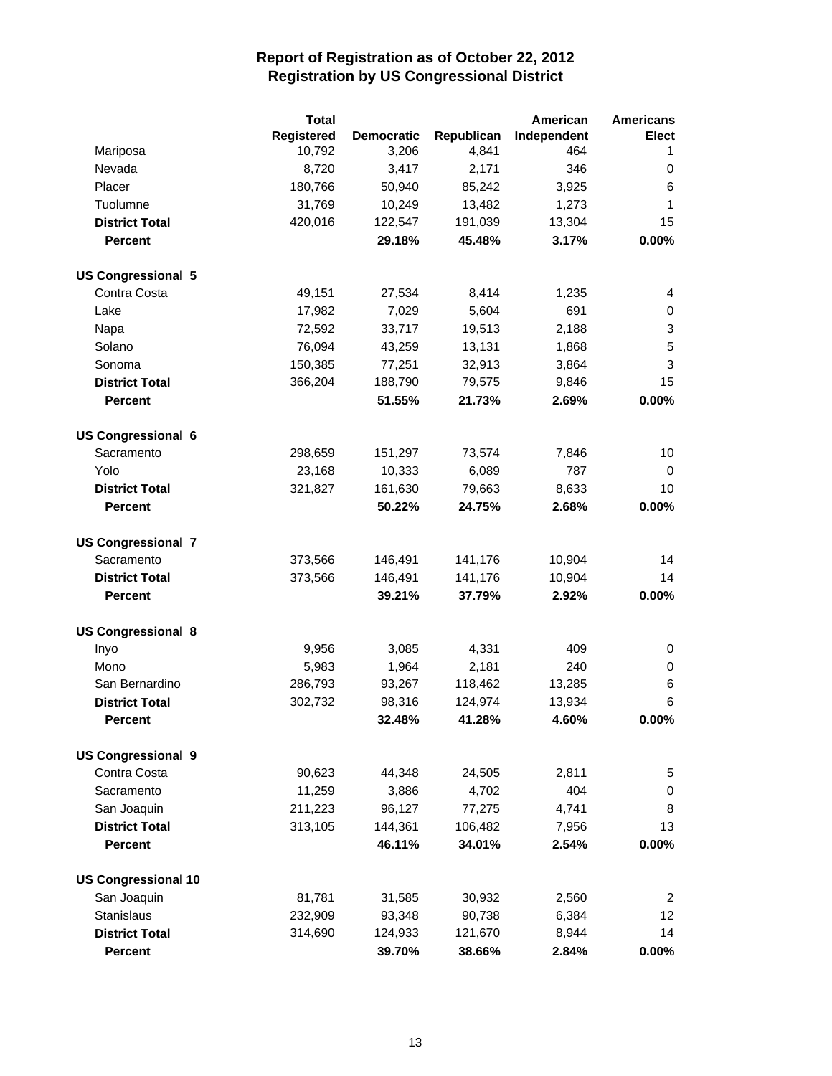|                            | <b>Total</b> |            |            | American    | <b>Americans</b> |
|----------------------------|--------------|------------|------------|-------------|------------------|
|                            | Registered   | Democratic | Republican | Independent | <b>Elect</b>     |
| Mariposa                   | 10,792       | 3,206      | 4,841      | 464         | 1                |
| Nevada                     | 8,720        | 3,417      | 2,171      | 346         | 0                |
| Placer                     | 180,766      | 50,940     | 85,242     | 3,925       | 6                |
| Tuolumne                   | 31,769       | 10,249     | 13,482     | 1,273       | 1                |
| <b>District Total</b>      | 420,016      | 122,547    | 191,039    | 13,304      | 15               |
| <b>Percent</b>             |              | 29.18%     | 45.48%     | 3.17%       | 0.00%            |
| <b>US Congressional 5</b>  |              |            |            |             |                  |
| Contra Costa               | 49,151       | 27,534     | 8,414      | 1,235       | 4                |
| Lake                       | 17,982       | 7,029      | 5,604      | 691         | 0                |
| Napa                       | 72,592       | 33,717     | 19,513     | 2,188       | 3                |
| Solano                     | 76,094       | 43,259     | 13,131     | 1,868       | 5                |
| Sonoma                     | 150,385      | 77,251     | 32,913     | 3,864       | 3                |
| <b>District Total</b>      | 366,204      | 188,790    | 79,575     | 9,846       | 15               |
| <b>Percent</b>             |              | 51.55%     | 21.73%     | 2.69%       | 0.00%            |
| <b>US Congressional 6</b>  |              |            |            |             |                  |
| Sacramento                 | 298,659      | 151,297    | 73,574     | 7,846       | 10               |
| Yolo                       | 23,168       | 10,333     | 6,089      | 787         | 0                |
| <b>District Total</b>      | 321,827      | 161,630    | 79,663     | 8,633       | 10               |
| <b>Percent</b>             |              | 50.22%     | 24.75%     | 2.68%       | 0.00%            |
| <b>US Congressional 7</b>  |              |            |            |             |                  |
| Sacramento                 | 373,566      | 146,491    | 141,176    | 10,904      | 14               |
| <b>District Total</b>      | 373,566      | 146,491    | 141,176    | 10,904      | 14               |
| <b>Percent</b>             |              | 39.21%     | 37.79%     | 2.92%       | 0.00%            |
| <b>US Congressional 8</b>  |              |            |            |             |                  |
| Inyo                       | 9,956        | 3,085      | 4,331      | 409         | 0                |
| Mono                       | 5,983        | 1,964      | 2,181      | 240         | 0                |
| San Bernardino             | 286,793      | 93,267     | 118,462    | 13,285      | 6                |
| <b>District Total</b>      | 302,732      | 98,316     | 124,974    | 13,934      | 6                |
| <b>Percent</b>             |              | 32.48%     | 41.28%     | 4.60%       | 0.00%            |
| <b>US Congressional 9</b>  |              |            |            |             |                  |
| Contra Costa               | 90,623       | 44,348     | 24,505     | 2,811       | 5                |
| Sacramento                 | 11,259       | 3,886      | 4,702      | 404         | 0                |
| San Joaquin                | 211,223      | 96,127     | 77,275     | 4,741       | 8                |
| <b>District Total</b>      | 313,105      | 144,361    | 106,482    | 7,956       | 13               |
| <b>Percent</b>             |              | 46.11%     | 34.01%     | 2.54%       | 0.00%            |
| <b>US Congressional 10</b> |              |            |            |             |                  |
| San Joaquin                | 81,781       | 31,585     | 30,932     | 2,560       | $\overline{2}$   |
| Stanislaus                 | 232,909      | 93,348     | 90,738     | 6,384       | 12 <sub>2</sub>  |
| <b>District Total</b>      | 314,690      | 124,933    | 121,670    | 8,944       | 14               |
| Percent                    |              | 39.70%     | 38.66%     | 2.84%       | 0.00%            |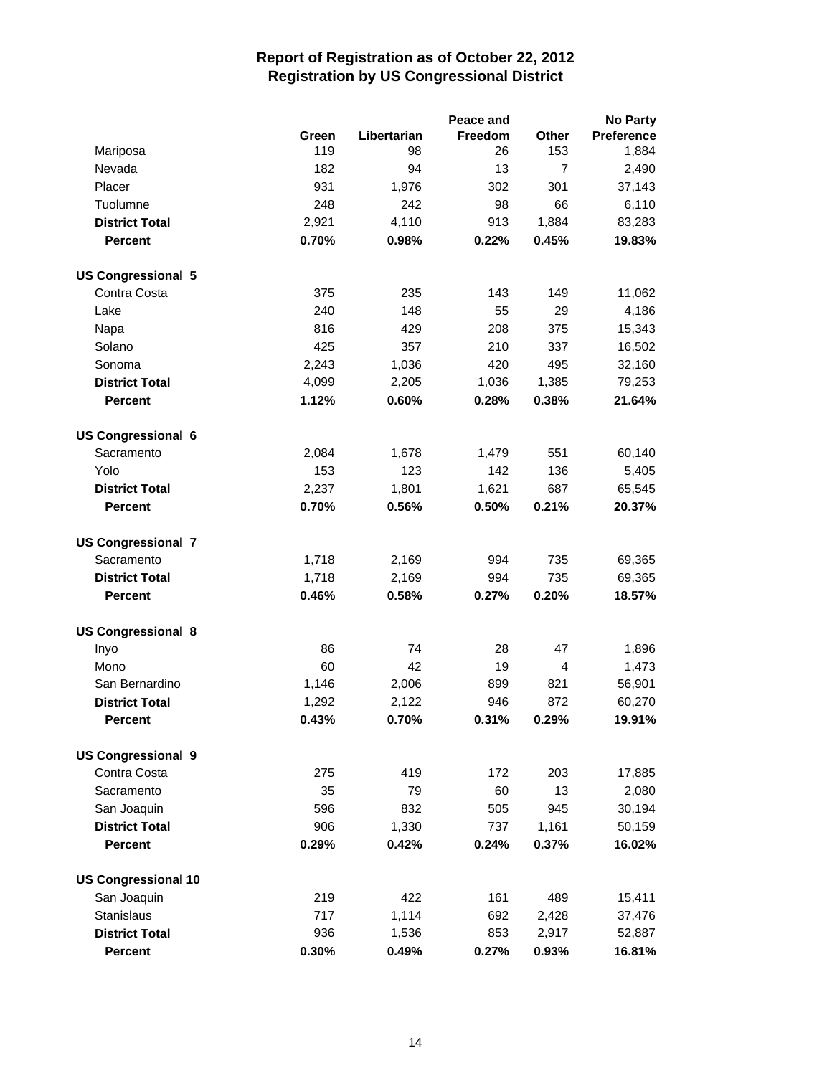|                            |       |             | Peace and |                | No Party          |
|----------------------------|-------|-------------|-----------|----------------|-------------------|
|                            | Green | Libertarian | Freedom   | Other          | <b>Preference</b> |
| Mariposa                   | 119   | 98          | 26        | 153            | 1,884             |
| Nevada                     | 182   | 94          | 13        | $\overline{7}$ | 2,490             |
| Placer                     | 931   | 1,976       | 302       | 301            | 37,143            |
| Tuolumne                   | 248   | 242         | 98        | 66             | 6,110             |
| <b>District Total</b>      | 2,921 | 4,110       | 913       | 1,884          | 83,283            |
| <b>Percent</b>             | 0.70% | 0.98%       | 0.22%     | 0.45%          | 19.83%            |
| <b>US Congressional 5</b>  |       |             |           |                |                   |
| Contra Costa               | 375   | 235         | 143       | 149            | 11,062            |
| Lake                       | 240   | 148         | 55        | 29             | 4,186             |
| Napa                       | 816   | 429         | 208       | 375            | 15,343            |
| Solano                     | 425   | 357         | 210       | 337            | 16,502            |
| Sonoma                     | 2,243 | 1,036       | 420       | 495            | 32,160            |
| <b>District Total</b>      | 4,099 | 2,205       | 1,036     | 1,385          | 79,253            |
| <b>Percent</b>             | 1.12% | 0.60%       | 0.28%     | 0.38%          | 21.64%            |
| <b>US Congressional 6</b>  |       |             |           |                |                   |
| Sacramento                 | 2,084 | 1,678       | 1,479     | 551            | 60,140            |
| Yolo                       | 153   | 123         | 142       | 136            | 5,405             |
| <b>District Total</b>      | 2,237 | 1,801       | 1,621     | 687            | 65,545            |
| Percent                    | 0.70% | 0.56%       | 0.50%     | 0.21%          | 20.37%            |
| <b>US Congressional 7</b>  |       |             |           |                |                   |
| Sacramento                 | 1,718 | 2,169       | 994       | 735            | 69,365            |
| <b>District Total</b>      | 1,718 | 2,169       | 994       | 735            | 69,365            |
| <b>Percent</b>             | 0.46% | 0.58%       | 0.27%     | 0.20%          | 18.57%            |
| <b>US Congressional 8</b>  |       |             |           |                |                   |
| Inyo                       | 86    | 74          | 28        | 47             | 1,896             |
| Mono                       | 60    | 42          | 19        | 4              | 1,473             |
| San Bernardino             | 1,146 | 2,006       | 899       | 821            | 56,901            |
| <b>District Total</b>      | 1,292 | 2,122       | 946       | 872            | 60,270            |
| Percent                    | 0.43% | 0.70%       | 0.31%     | 0.29%          | 19.91%            |
| <b>US Congressional 9</b>  |       |             |           |                |                   |
| Contra Costa               | 275   | 419         | 172       | 203            | 17,885            |
| Sacramento                 | 35    | 79          | 60        | 13             | 2,080             |
| San Joaquin                | 596   | 832         | 505       | 945            | 30,194            |
| <b>District Total</b>      | 906   | 1,330       | 737       | 1,161          | 50,159            |
| Percent                    | 0.29% | 0.42%       | 0.24%     | 0.37%          | 16.02%            |
| <b>US Congressional 10</b> |       |             |           |                |                   |
| San Joaquin                | 219   | 422         | 161       | 489            | 15,411            |
| Stanislaus                 | 717   | 1,114       | 692       | 2,428          | 37,476            |
| <b>District Total</b>      | 936   | 1,536       | 853       | 2,917          | 52,887            |
| <b>Percent</b>             | 0.30% | 0.49%       | 0.27%     | 0.93%          | 16.81%            |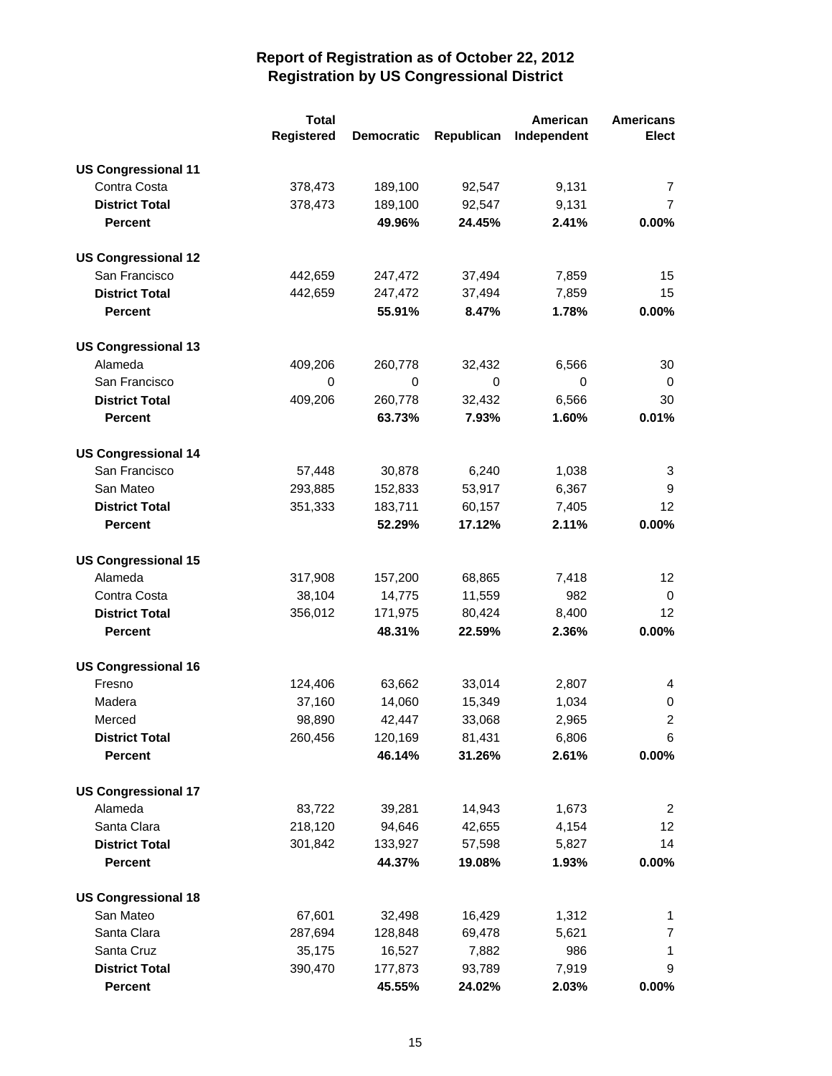|                            | <b>Total</b>      |                   |            | American    | <b>Americans</b>  |
|----------------------------|-------------------|-------------------|------------|-------------|-------------------|
|                            | <b>Registered</b> | <b>Democratic</b> | Republican | Independent | <b>Elect</b>      |
| <b>US Congressional 11</b> |                   |                   |            |             |                   |
| Contra Costa               | 378,473           | 189,100           | 92,547     | 9,131       | 7                 |
| <b>District Total</b>      | 378,473           | 189,100           | 92,547     | 9,131       | 7                 |
| <b>Percent</b>             |                   | 49.96%            | 24.45%     | 2.41%       | 0.00%             |
| <b>US Congressional 12</b> |                   |                   |            |             |                   |
| San Francisco              | 442,659           | 247,472           | 37,494     | 7,859       | 15                |
| <b>District Total</b>      | 442,659           | 247,472           | 37,494     | 7,859       | 15                |
| <b>Percent</b>             |                   | 55.91%            | 8.47%      | 1.78%       | 0.00%             |
| <b>US Congressional 13</b> |                   |                   |            |             |                   |
| Alameda                    | 409,206           | 260,778           | 32,432     | 6,566       | 30                |
| San Francisco              | 0                 | 0                 | 0          | 0           | 0                 |
| <b>District Total</b>      | 409,206           | 260,778           | 32,432     | 6,566       | 30                |
| <b>Percent</b>             |                   | 63.73%            | 7.93%      | 1.60%       | 0.01%             |
| <b>US Congressional 14</b> |                   |                   |            |             |                   |
| San Francisco              | 57,448            | 30,878            | 6,240      | 1,038       | 3                 |
| San Mateo                  | 293,885           | 152,833           | 53,917     | 6,367       | 9                 |
| <b>District Total</b>      | 351,333           | 183,711           | 60,157     | 7,405       | 12                |
| <b>Percent</b>             |                   | 52.29%            | 17.12%     | 2.11%       | 0.00%             |
| <b>US Congressional 15</b> |                   |                   |            |             |                   |
| Alameda                    | 317,908           | 157,200           | 68,865     | 7,418       | $12 \overline{ }$ |
| Contra Costa               | 38,104            | 14,775            | 11,559     | 982         | 0                 |
| <b>District Total</b>      | 356,012           | 171,975           | 80,424     | 8,400       | 12                |
| <b>Percent</b>             |                   | 48.31%            | 22.59%     | 2.36%       | 0.00%             |
| <b>US Congressional 16</b> |                   |                   |            |             |                   |
| Fresno                     | 124,406           | 63,662            | 33,014     | 2,807       | 4                 |
| Madera                     | 37,160            | 14,060            | 15,349     | 1,034       | 0                 |
| Merced                     | 98,890            | 42,447            | 33,068     | 2,965       | $\overline{2}$    |
| <b>District Total</b>      | 260,456           | 120,169           | 81,431     | 6,806       | 6                 |
| <b>Percent</b>             |                   | 46.14%            | 31.26%     | 2.61%       | $0.00\%$          |
| <b>US Congressional 17</b> |                   |                   |            |             |                   |
| Alameda                    | 83,722            | 39,281            | 14,943     | 1,673       | $\overline{2}$    |
| Santa Clara                | 218,120           | 94,646            | 42,655     | 4,154       | $12 \overline{ }$ |
| <b>District Total</b>      | 301,842           | 133,927           | 57,598     | 5,827       | 14                |
| <b>Percent</b>             |                   | 44.37%            | 19.08%     | 1.93%       | $0.00\%$          |
| <b>US Congressional 18</b> |                   |                   |            |             |                   |
| San Mateo                  | 67,601            | 32,498            | 16,429     | 1,312       | 1                 |
| Santa Clara                | 287,694           | 128,848           | 69,478     | 5,621       | 7                 |
| Santa Cruz                 | 35,175            | 16,527            | 7,882      | 986         | 1                 |
| <b>District Total</b>      | 390,470           | 177,873           | 93,789     | 7,919       | 9                 |
| <b>Percent</b>             |                   | 45.55%            | 24.02%     | 2.03%       | $0.00\%$          |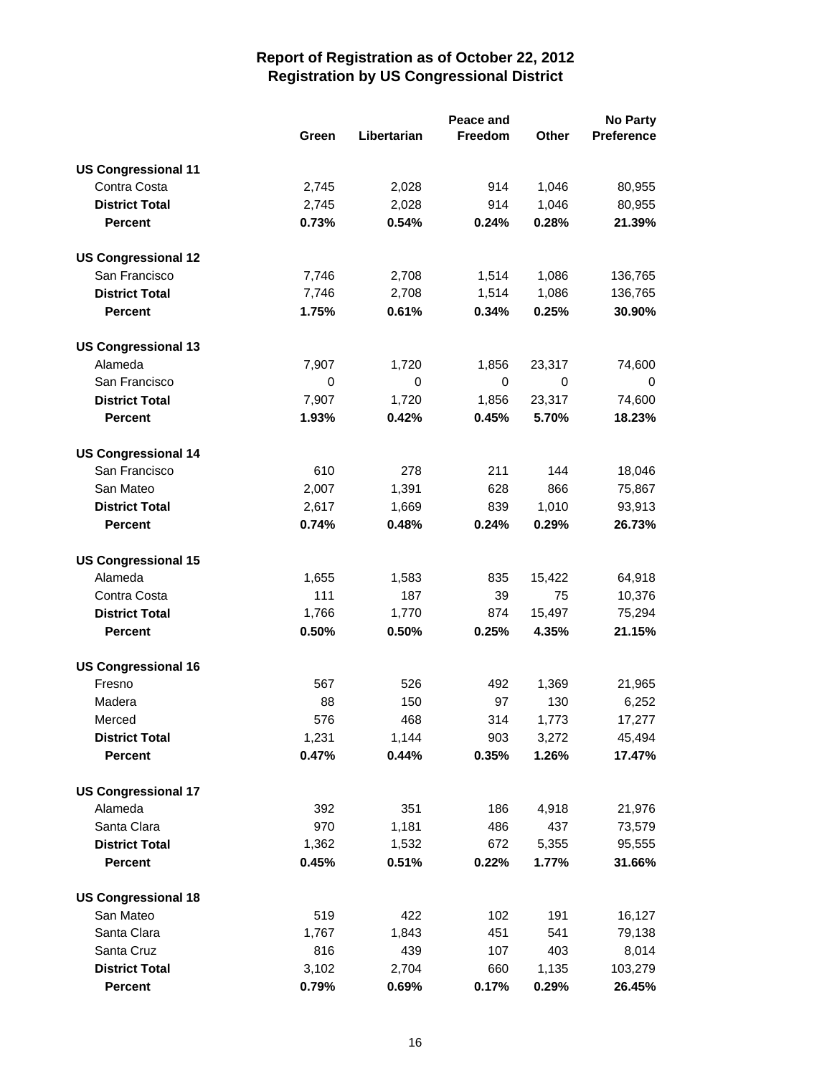|                            |       |             | Peace and |             | <b>No Party</b> |
|----------------------------|-------|-------------|-----------|-------------|-----------------|
|                            | Green | Libertarian | Freedom   | Other       | Preference      |
| <b>US Congressional 11</b> |       |             |           |             |                 |
| Contra Costa               | 2,745 | 2,028       | 914       | 1,046       | 80,955          |
| <b>District Total</b>      | 2,745 | 2,028       | 914       | 1,046       | 80,955          |
| <b>Percent</b>             | 0.73% | 0.54%       | 0.24%     | 0.28%       | 21.39%          |
|                            |       |             |           |             |                 |
| <b>US Congressional 12</b> |       |             |           |             |                 |
| San Francisco              | 7,746 | 2,708       | 1,514     | 1,086       | 136,765         |
| <b>District Total</b>      | 7,746 | 2,708       | 1,514     | 1,086       | 136,765         |
| <b>Percent</b>             | 1.75% | 0.61%       | 0.34%     | 0.25%       | 30.90%          |
| <b>US Congressional 13</b> |       |             |           |             |                 |
| Alameda                    | 7,907 | 1,720       | 1,856     | 23,317      | 74,600          |
| San Francisco              | 0     | $\mathbf 0$ | 0         | $\mathbf 0$ | 0               |
| <b>District Total</b>      | 7,907 | 1,720       | 1,856     | 23,317      | 74,600          |
| <b>Percent</b>             | 1.93% | 0.42%       | 0.45%     | 5.70%       | 18.23%          |
|                            |       |             |           |             |                 |
| <b>US Congressional 14</b> |       |             |           |             |                 |
| San Francisco              | 610   | 278         | 211       | 144         | 18,046          |
| San Mateo                  | 2,007 | 1,391       | 628       | 866         | 75,867          |
| <b>District Total</b>      | 2,617 | 1,669       | 839       | 1,010       | 93,913          |
| <b>Percent</b>             | 0.74% | 0.48%       | 0.24%     | 0.29%       | 26.73%          |
| <b>US Congressional 15</b> |       |             |           |             |                 |
| Alameda                    | 1,655 | 1,583       | 835       | 15,422      | 64,918          |
| Contra Costa               | 111   | 187         | 39        | 75          | 10,376          |
| <b>District Total</b>      | 1,766 | 1,770       | 874       | 15,497      | 75,294          |
| Percent                    | 0.50% | 0.50%       | 0.25%     | 4.35%       | 21.15%          |
|                            |       |             |           |             |                 |
| <b>US Congressional 16</b> |       |             |           |             |                 |
| Fresno                     | 567   | 526         | 492       | 1,369       | 21,965          |
| Madera                     | 88    | 150         | 97        | 130         | 6,252           |
| Merced                     | 576   | 468         | 314       | 1,773       | 17,277          |
| <b>District Total</b>      | 1,231 | 1,144       | 903       | 3,272       | 45,494          |
| <b>Percent</b>             | 0.47% | 0.44%       | 0.35%     | 1.26%       | 17.47%          |
| <b>US Congressional 17</b> |       |             |           |             |                 |
| Alameda                    | 392   | 351         | 186       | 4,918       | 21,976          |
| Santa Clara                | 970   | 1,181       | 486       | 437         | 73,579          |
| <b>District Total</b>      | 1,362 | 1,532       | 672       | 5,355       | 95,555          |
| <b>Percent</b>             | 0.45% | 0.51%       | 0.22%     | 1.77%       | 31.66%          |
|                            |       |             |           |             |                 |
| <b>US Congressional 18</b> |       |             |           |             |                 |
| San Mateo                  | 519   | 422         | 102       | 191         | 16,127          |
| Santa Clara                | 1,767 | 1,843       | 451       | 541         | 79,138          |
| Santa Cruz                 | 816   | 439         | 107       | 403         | 8,014           |
| <b>District Total</b>      | 3,102 | 2,704       | 660       | 1,135       | 103,279         |
| <b>Percent</b>             | 0.79% | 0.69%       | 0.17%     | 0.29%       | 26.45%          |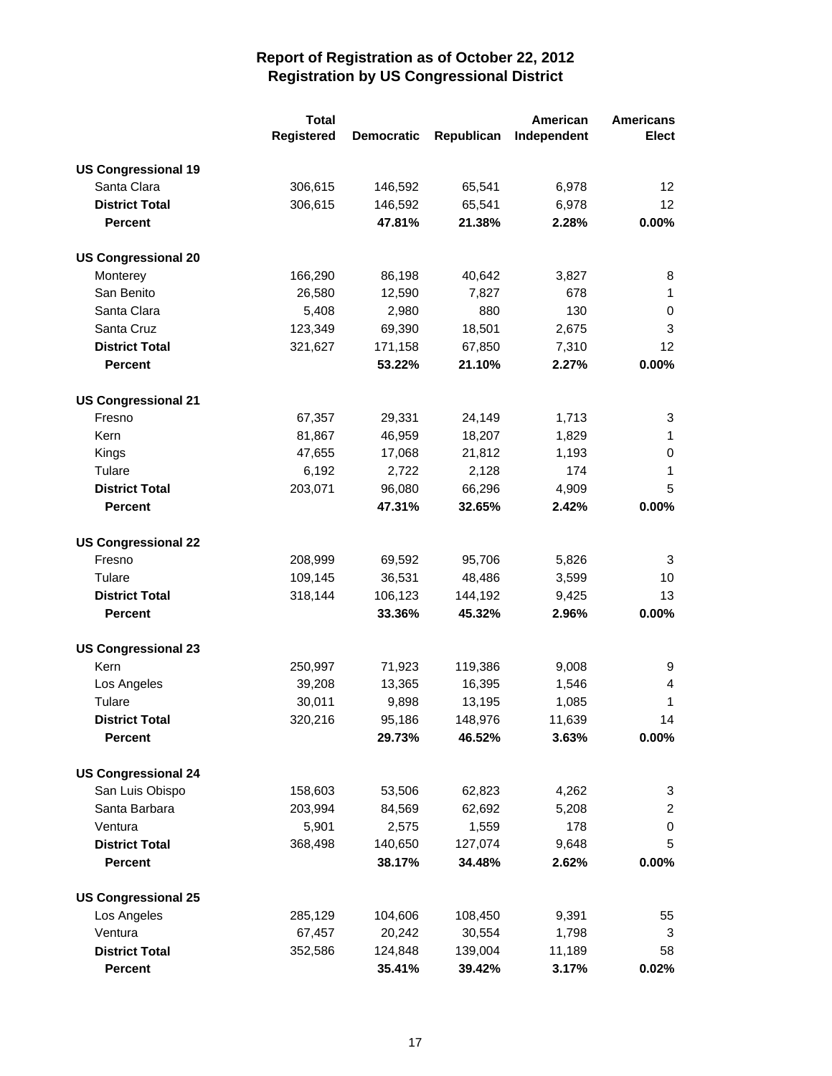|                            | <b>Total</b>      |                   |            | American    | <b>Americans</b> |
|----------------------------|-------------------|-------------------|------------|-------------|------------------|
|                            | <b>Registered</b> | <b>Democratic</b> | Republican | Independent | Elect            |
| <b>US Congressional 19</b> |                   |                   |            |             |                  |
| Santa Clara                | 306,615           | 146,592           | 65,541     | 6,978       | 12               |
| <b>District Total</b>      | 306,615           | 146,592           | 65,541     | 6,978       | 12 <sup>2</sup>  |
| <b>Percent</b>             |                   | 47.81%            | 21.38%     | 2.28%       | $0.00\%$         |
| <b>US Congressional 20</b> |                   |                   |            |             |                  |
| Monterey                   | 166,290           | 86,198            | 40,642     | 3,827       | 8                |
| San Benito                 | 26,580            | 12,590            | 7,827      | 678         | 1                |
| Santa Clara                | 5,408             | 2,980             | 880        | 130         | 0                |
| Santa Cruz                 | 123,349           | 69,390            | 18,501     | 2,675       | 3                |
| <b>District Total</b>      | 321,627           | 171,158           | 67,850     | 7,310       | 12               |
| <b>Percent</b>             |                   | 53.22%            | 21.10%     | 2.27%       | $0.00\%$         |
| <b>US Congressional 21</b> |                   |                   |            |             |                  |
| Fresno                     | 67,357            | 29,331            | 24,149     | 1,713       | 3                |
| Kern                       | 81,867            | 46,959            | 18,207     | 1,829       | 1                |
| Kings                      | 47,655            | 17,068            | 21,812     | 1,193       | 0                |
| Tulare                     | 6,192             | 2,722             | 2,128      | 174         | 1                |
| <b>District Total</b>      | 203,071           | 96,080            | 66,296     | 4,909       | 5                |
| <b>Percent</b>             |                   | 47.31%            | 32.65%     | 2.42%       | $0.00\%$         |
| <b>US Congressional 22</b> |                   |                   |            |             |                  |
| Fresno                     | 208,999           | 69,592            | 95,706     | 5,826       | 3                |
| Tulare                     | 109,145           | 36,531            | 48,486     | 3,599       | 10               |
| <b>District Total</b>      | 318,144           | 106,123           | 144,192    | 9,425       | 13               |
| <b>Percent</b>             |                   | 33.36%            | 45.32%     | 2.96%       | $0.00\%$         |
| <b>US Congressional 23</b> |                   |                   |            |             |                  |
| Kern                       | 250,997           | 71,923            | 119,386    | 9,008       | 9                |
| Los Angeles                | 39,208            | 13,365            | 16,395     | 1,546       | 4                |
| Tulare                     | 30,011            | 9,898             | 13,195     | 1,085       | $\mathbf{1}$     |
| <b>District Total</b>      | 320,216           | 95,186            | 148,976    | 11,639      | 14               |
| <b>Percent</b>             |                   | 29.73%            | 46.52%     | 3.63%       | $0.00\%$         |
| <b>US Congressional 24</b> |                   |                   |            |             |                  |
| San Luis Obispo            | 158,603           | 53,506            | 62,823     | 4,262       | 3                |
| Santa Barbara              | 203,994           | 84,569            | 62,692     | 5,208       | $\overline{2}$   |
| Ventura                    | 5,901             | 2,575             | 1,559      | 178         | 0                |
| <b>District Total</b>      | 368,498           | 140,650           | 127,074    | 9,648       | 5                |
| <b>Percent</b>             |                   | 38.17%            | 34.48%     | 2.62%       | $0.00\%$         |
| <b>US Congressional 25</b> |                   |                   |            |             |                  |
| Los Angeles                | 285,129           | 104,606           | 108,450    | 9,391       | 55               |
| Ventura                    | 67,457            | 20,242            | 30,554     | 1,798       | 3                |
| <b>District Total</b>      | 352,586           | 124,848           | 139,004    | 11,189      | 58               |
| Percent                    |                   | 35.41%            | 39.42%     | 3.17%       | 0.02%            |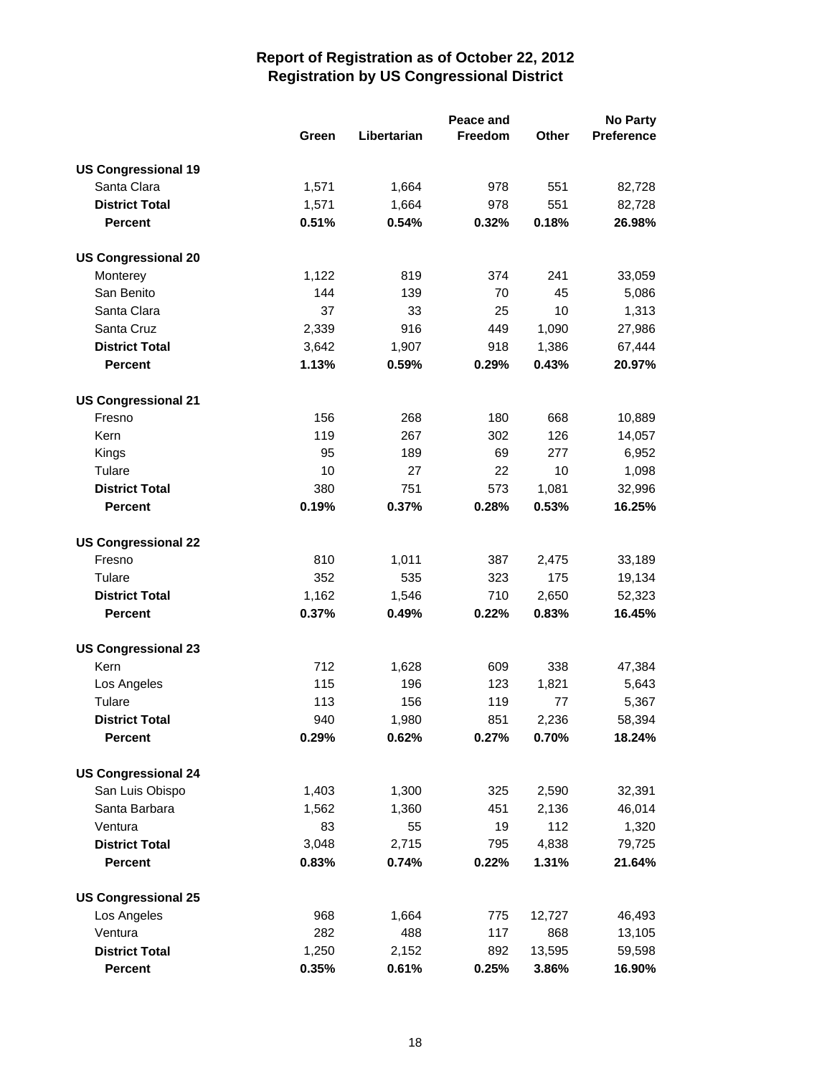|                            |       | Peace and   |         |              | <b>No Party</b>   |  |
|----------------------------|-------|-------------|---------|--------------|-------------------|--|
|                            | Green | Libertarian | Freedom | <b>Other</b> | <b>Preference</b> |  |
| <b>US Congressional 19</b> |       |             |         |              |                   |  |
| Santa Clara                | 1,571 | 1,664       | 978     | 551          | 82,728            |  |
| <b>District Total</b>      | 1,571 | 1,664       | 978     | 551          | 82,728            |  |
| <b>Percent</b>             | 0.51% | 0.54%       | 0.32%   | 0.18%        | 26.98%            |  |
|                            |       |             |         |              |                   |  |
| <b>US Congressional 20</b> |       |             |         |              |                   |  |
| Monterey                   | 1,122 | 819         | 374     | 241          | 33,059            |  |
| San Benito                 | 144   | 139         | 70      | 45           | 5,086             |  |
| Santa Clara                | 37    | 33          | 25      | 10           | 1,313             |  |
| Santa Cruz                 | 2,339 | 916         | 449     | 1,090        | 27,986            |  |
| <b>District Total</b>      | 3,642 | 1,907       | 918     | 1,386        | 67,444            |  |
| <b>Percent</b>             | 1.13% | 0.59%       | 0.29%   | 0.43%        | 20.97%            |  |
| <b>US Congressional 21</b> |       |             |         |              |                   |  |
| Fresno                     | 156   | 268         | 180     | 668          | 10,889            |  |
| Kern                       | 119   | 267         | 302     | 126          | 14,057            |  |
| Kings                      | 95    | 189         | 69      | 277          | 6,952             |  |
| Tulare                     | 10    | 27          | 22      | 10           | 1,098             |  |
| <b>District Total</b>      | 380   | 751         | 573     | 1,081        | 32,996            |  |
| <b>Percent</b>             | 0.19% | 0.37%       | 0.28%   | 0.53%        | 16.25%            |  |
|                            |       |             |         |              |                   |  |
| <b>US Congressional 22</b> |       |             |         |              |                   |  |
| Fresno                     | 810   | 1,011       | 387     | 2,475        | 33,189            |  |
| Tulare                     | 352   | 535         | 323     | 175          | 19,134            |  |
| <b>District Total</b>      | 1,162 | 1,546       | 710     | 2,650        | 52,323            |  |
| <b>Percent</b>             | 0.37% | 0.49%       | 0.22%   | 0.83%        | 16.45%            |  |
| <b>US Congressional 23</b> |       |             |         |              |                   |  |
| Kern                       | 712   | 1,628       | 609     | 338          | 47,384            |  |
| Los Angeles                | 115   | 196         | 123     | 1,821        | 5,643             |  |
| Tulare                     | 113   | 156         | 119     | 77           | 5,367             |  |
| <b>District Total</b>      | 940   | 1,980       | 851     | 2,236        | 58,394            |  |
| <b>Percent</b>             | 0.29% | 0.62%       | 0.27%   | 0.70%        | 18.24%            |  |
| <b>US Congressional 24</b> |       |             |         |              |                   |  |
| San Luis Obispo            | 1,403 | 1,300       | 325     | 2,590        | 32,391            |  |
| Santa Barbara              | 1,562 | 1,360       | 451     | 2,136        | 46,014            |  |
| Ventura                    | 83    | 55          | 19      | 112          | 1,320             |  |
| <b>District Total</b>      | 3,048 | 2,715       | 795     | 4,838        | 79,725            |  |
| <b>Percent</b>             | 0.83% | 0.74%       | 0.22%   | 1.31%        | 21.64%            |  |
|                            |       |             |         |              |                   |  |
| <b>US Congressional 25</b> |       |             |         |              |                   |  |
| Los Angeles                | 968   | 1,664       | 775     | 12,727       | 46,493            |  |
| Ventura                    | 282   | 488         | 117     | 868          | 13,105            |  |
| <b>District Total</b>      | 1,250 | 2,152       | 892     | 13,595       | 59,598            |  |
| <b>Percent</b>             | 0.35% | 0.61%       | 0.25%   | 3.86%        | 16.90%            |  |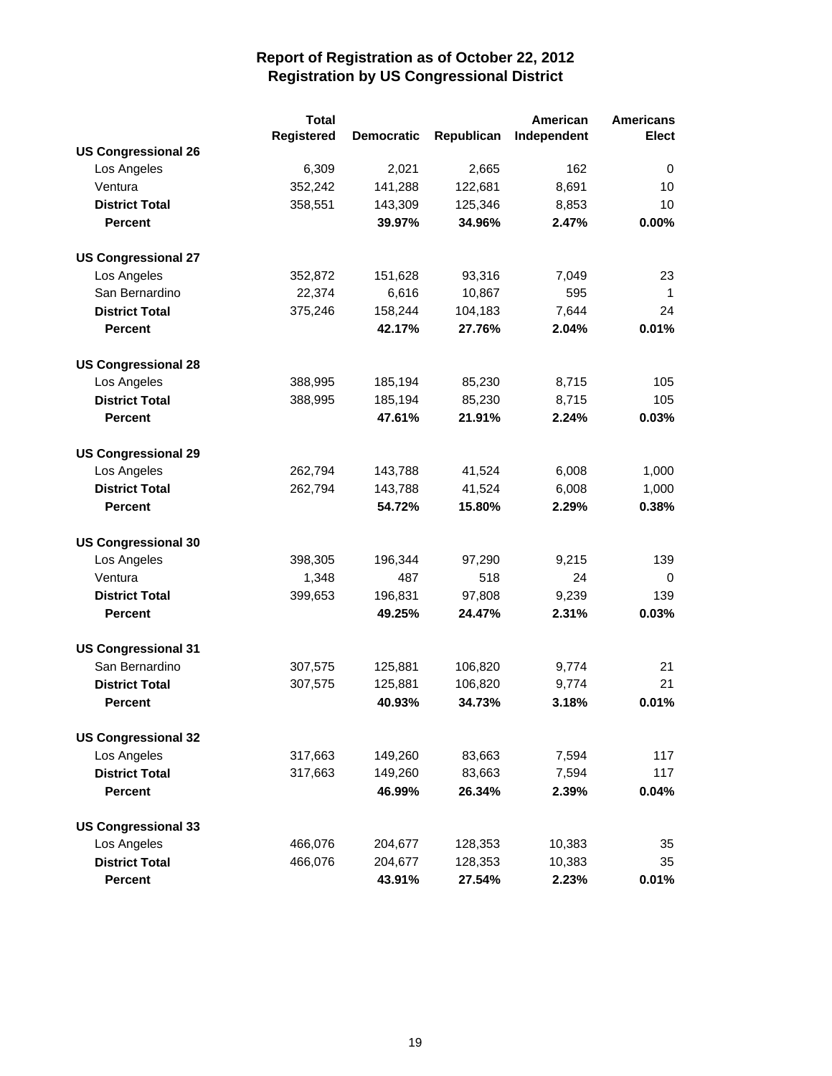|                            | <b>Total</b> |                   |            | American    | <b>Americans</b> |
|----------------------------|--------------|-------------------|------------|-------------|------------------|
|                            | Registered   | <b>Democratic</b> | Republican | Independent | <b>Elect</b>     |
| <b>US Congressional 26</b> |              |                   |            |             |                  |
| Los Angeles                | 6,309        | 2,021             | 2,665      | 162         | 0                |
| Ventura                    | 352,242      | 141,288           | 122,681    | 8,691       | 10               |
| <b>District Total</b>      | 358,551      | 143,309           | 125,346    | 8,853       | 10               |
| <b>Percent</b>             |              | 39.97%            | 34.96%     | 2.47%       | 0.00%            |
| <b>US Congressional 27</b> |              |                   |            |             |                  |
| Los Angeles                | 352,872      | 151,628           | 93,316     | 7,049       | 23               |
| San Bernardino             | 22,374       | 6,616             | 10,867     | 595         | 1                |
| <b>District Total</b>      | 375,246      | 158,244           | 104,183    | 7,644       | 24               |
| <b>Percent</b>             |              | 42.17%            | 27.76%     | 2.04%       | 0.01%            |
| <b>US Congressional 28</b> |              |                   |            |             |                  |
| Los Angeles                | 388,995      | 185,194           | 85,230     | 8,715       | 105              |
| <b>District Total</b>      | 388,995      | 185,194           | 85,230     | 8,715       | 105              |
| <b>Percent</b>             |              | 47.61%            | 21.91%     | 2.24%       | 0.03%            |
| <b>US Congressional 29</b> |              |                   |            |             |                  |
| Los Angeles                | 262,794      | 143,788           | 41,524     | 6,008       | 1,000            |
| <b>District Total</b>      | 262,794      | 143,788           | 41,524     | 6,008       | 1,000            |
| <b>Percent</b>             |              | 54.72%            | 15.80%     | 2.29%       | 0.38%            |
| <b>US Congressional 30</b> |              |                   |            |             |                  |
| Los Angeles                | 398,305      | 196,344           | 97,290     | 9,215       | 139              |
| Ventura                    | 1,348        | 487               | 518        | 24          | 0                |
| <b>District Total</b>      | 399,653      | 196,831           | 97,808     | 9,239       | 139              |
| <b>Percent</b>             |              | 49.25%            | 24.47%     | 2.31%       | 0.03%            |
| <b>US Congressional 31</b> |              |                   |            |             |                  |
| San Bernardino             | 307,575      | 125,881           | 106,820    | 9,774       | 21               |
| <b>District Total</b>      | 307,575      | 125,881           | 106,820    | 9,774       | 21               |
| <b>Percent</b>             |              | 40.93%            | 34.73%     | 3.18%       | 0.01%            |
| <b>US Congressional 32</b> |              |                   |            |             |                  |
| Los Angeles                | 317,663      | 149,260           | 83,663     | 7,594       | 117              |
| <b>District Total</b>      | 317,663      | 149,260           | 83,663     | 7,594       | 117              |
| <b>Percent</b>             |              | 46.99%            | 26.34%     | 2.39%       | 0.04%            |
| <b>US Congressional 33</b> |              |                   |            |             |                  |
| Los Angeles                | 466,076      | 204,677           | 128,353    | 10,383      | 35               |
| <b>District Total</b>      | 466,076      | 204,677           | 128,353    | 10,383      | 35               |
| <b>Percent</b>             |              | 43.91%            | 27.54%     | 2.23%       | 0.01%            |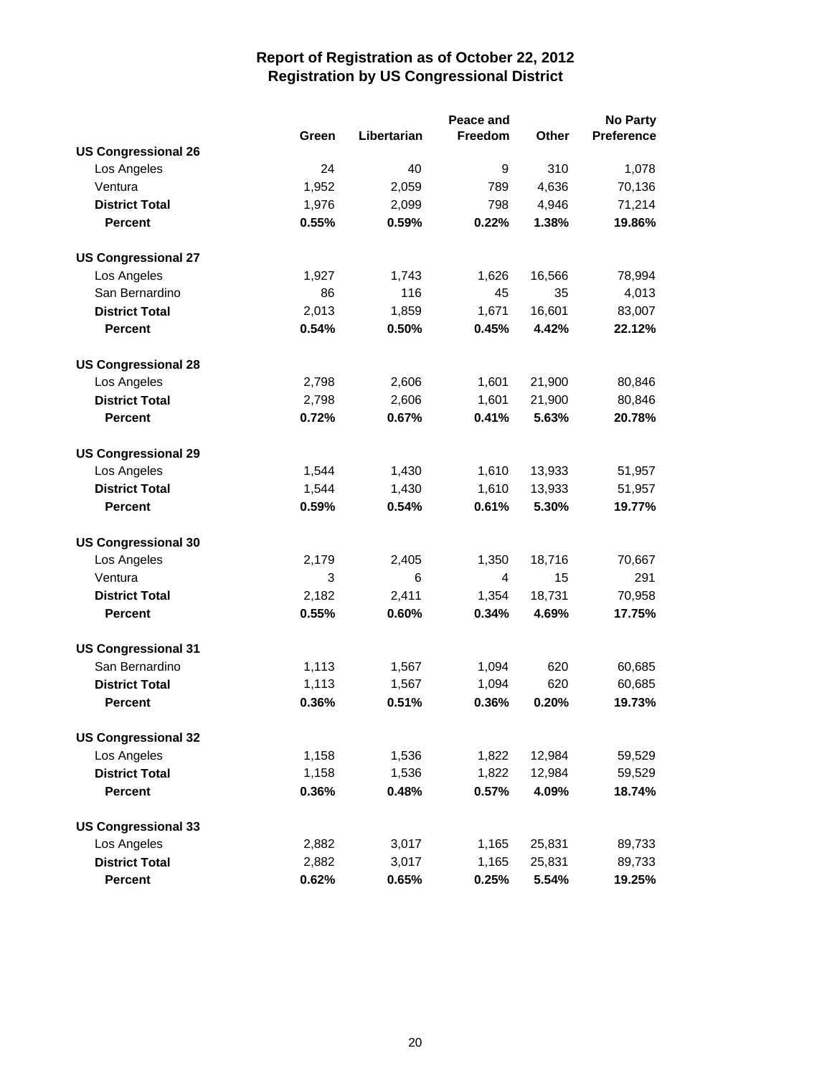|                            |       |             | Peace and      |        | <b>No Party</b>   |
|----------------------------|-------|-------------|----------------|--------|-------------------|
|                            | Green | Libertarian | Freedom        | Other  | <b>Preference</b> |
| <b>US Congressional 26</b> |       |             |                |        |                   |
| Los Angeles                | 24    | 40          | 9              | 310    | 1,078             |
| Ventura                    | 1,952 | 2,059       | 789            | 4,636  | 70,136            |
| <b>District Total</b>      | 1,976 | 2,099       | 798            | 4,946  | 71,214            |
| <b>Percent</b>             | 0.55% | 0.59%       | 0.22%          | 1.38%  | 19.86%            |
| <b>US Congressional 27</b> |       |             |                |        |                   |
| Los Angeles                | 1,927 | 1,743       | 1,626          | 16,566 | 78,994            |
| San Bernardino             | 86    | 116         | 45             | 35     | 4,013             |
| <b>District Total</b>      | 2,013 | 1,859       | 1,671          | 16,601 | 83,007            |
| <b>Percent</b>             | 0.54% | 0.50%       | 0.45%          | 4.42%  | 22.12%            |
| <b>US Congressional 28</b> |       |             |                |        |                   |
| Los Angeles                | 2,798 | 2,606       | 1,601          | 21,900 | 80,846            |
| <b>District Total</b>      | 2,798 | 2,606       | 1,601          | 21,900 | 80,846            |
| <b>Percent</b>             | 0.72% | 0.67%       | 0.41%          | 5.63%  | 20.78%            |
| <b>US Congressional 29</b> |       |             |                |        |                   |
| Los Angeles                | 1,544 | 1,430       | 1,610          | 13,933 | 51,957            |
| <b>District Total</b>      | 1,544 | 1,430       | 1,610          | 13,933 | 51,957            |
| <b>Percent</b>             | 0.59% | 0.54%       | 0.61%          | 5.30%  | 19.77%            |
| <b>US Congressional 30</b> |       |             |                |        |                   |
| Los Angeles                | 2,179 | 2,405       | 1,350          | 18,716 | 70,667            |
| Ventura                    | 3     | 6           | $\overline{4}$ | 15     | 291               |
| <b>District Total</b>      | 2,182 | 2,411       | 1,354          | 18,731 | 70,958            |
| <b>Percent</b>             | 0.55% | 0.60%       | 0.34%          | 4.69%  | 17.75%            |
| <b>US Congressional 31</b> |       |             |                |        |                   |
| San Bernardino             | 1,113 | 1,567       | 1,094          | 620    | 60,685            |
| <b>District Total</b>      | 1,113 | 1,567       | 1,094          | 620    | 60,685            |
| <b>Percent</b>             | 0.36% | 0.51%       | 0.36%          | 0.20%  | 19.73%            |
| <b>US Congressional 32</b> |       |             |                |        |                   |
| Los Angeles                | 1,158 | 1,536       | 1,822          | 12,984 | 59,529            |
| <b>District Total</b>      | 1,158 | 1,536       | 1,822          | 12,984 | 59,529            |
| <b>Percent</b>             | 0.36% | 0.48%       | 0.57%          | 4.09%  | 18.74%            |
| <b>US Congressional 33</b> |       |             |                |        |                   |
| Los Angeles                | 2,882 | 3,017       | 1,165          | 25,831 | 89,733            |
| <b>District Total</b>      | 2,882 | 3,017       | 1,165          | 25,831 | 89,733            |
| <b>Percent</b>             | 0.62% | 0.65%       | 0.25%          | 5.54%  | 19.25%            |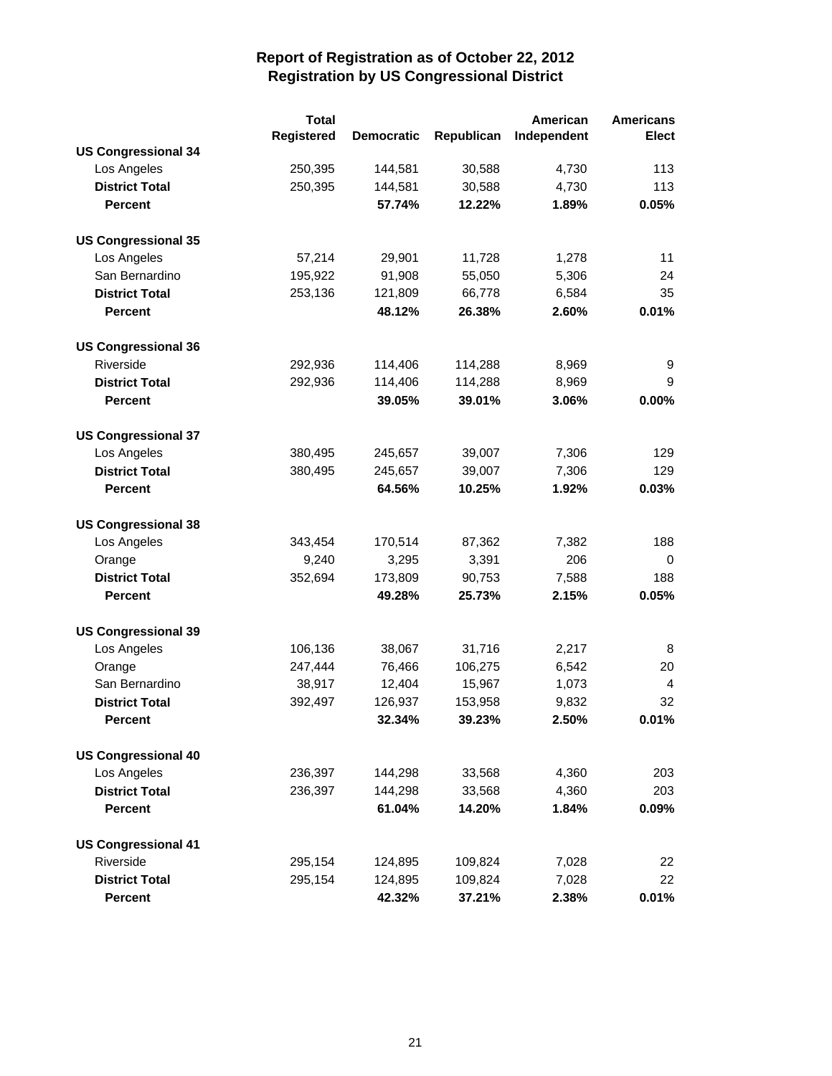|                            | <b>Total</b> |                   |            | American    | <b>Americans</b> |
|----------------------------|--------------|-------------------|------------|-------------|------------------|
|                            | Registered   | <b>Democratic</b> | Republican | Independent | <b>Elect</b>     |
| <b>US Congressional 34</b> |              |                   |            |             |                  |
| Los Angeles                | 250,395      | 144,581           | 30,588     | 4,730       | 113              |
| <b>District Total</b>      | 250,395      | 144,581           | 30,588     | 4,730       | 113              |
| <b>Percent</b>             |              | 57.74%            | 12.22%     | 1.89%       | 0.05%            |
| <b>US Congressional 35</b> |              |                   |            |             |                  |
| Los Angeles                | 57,214       | 29,901            | 11,728     | 1,278       | 11               |
| San Bernardino             | 195,922      | 91,908            | 55,050     | 5,306       | 24               |
| <b>District Total</b>      | 253,136      | 121,809           | 66,778     | 6,584       | 35               |
| <b>Percent</b>             |              | 48.12%            | 26.38%     | 2.60%       | 0.01%            |
| <b>US Congressional 36</b> |              |                   |            |             |                  |
| Riverside                  | 292,936      | 114,406           | 114,288    | 8,969       | 9                |
| <b>District Total</b>      | 292,936      | 114,406           | 114,288    | 8,969       | 9                |
| <b>Percent</b>             |              | 39.05%            | 39.01%     | 3.06%       | $0.00\%$         |
| <b>US Congressional 37</b> |              |                   |            |             |                  |
| Los Angeles                | 380,495      | 245,657           | 39,007     | 7,306       | 129              |
| <b>District Total</b>      | 380,495      | 245,657           | 39,007     | 7,306       | 129              |
| <b>Percent</b>             |              | 64.56%            | 10.25%     | 1.92%       | 0.03%            |
| <b>US Congressional 38</b> |              |                   |            |             |                  |
| Los Angeles                | 343,454      | 170,514           | 87,362     | 7,382       | 188              |
| Orange                     | 9,240        | 3,295             | 3,391      | 206         | 0                |
| <b>District Total</b>      | 352,694      | 173,809           | 90,753     | 7,588       | 188              |
| <b>Percent</b>             |              | 49.28%            | 25.73%     | 2.15%       | 0.05%            |
| <b>US Congressional 39</b> |              |                   |            |             |                  |
| Los Angeles                | 106,136      | 38,067            | 31,716     | 2,217       | 8                |
| Orange                     | 247,444      | 76,466            | 106,275    | 6,542       | 20               |
| San Bernardino             | 38,917       | 12,404            | 15,967     | 1,073       | 4                |
| <b>District Total</b>      | 392,497      | 126,937           | 153,958    | 9,832       | 32               |
| <b>Percent</b>             |              | 32.34%            | 39.23%     | 2.50%       | 0.01%            |
| <b>US Congressional 40</b> |              |                   |            |             |                  |
| Los Angeles                | 236,397      | 144,298           | 33,568     | 4,360       | 203              |
| <b>District Total</b>      | 236,397      | 144,298           | 33,568     | 4,360       | 203              |
| <b>Percent</b>             |              | 61.04%            | 14.20%     | 1.84%       | 0.09%            |
| <b>US Congressional 41</b> |              |                   |            |             |                  |
| Riverside                  | 295,154      | 124,895           | 109,824    | 7,028       | 22               |
| <b>District Total</b>      | 295,154      | 124,895           | 109,824    | 7,028       | 22               |
| <b>Percent</b>             |              | 42.32%            | 37.21%     | 2.38%       | 0.01%            |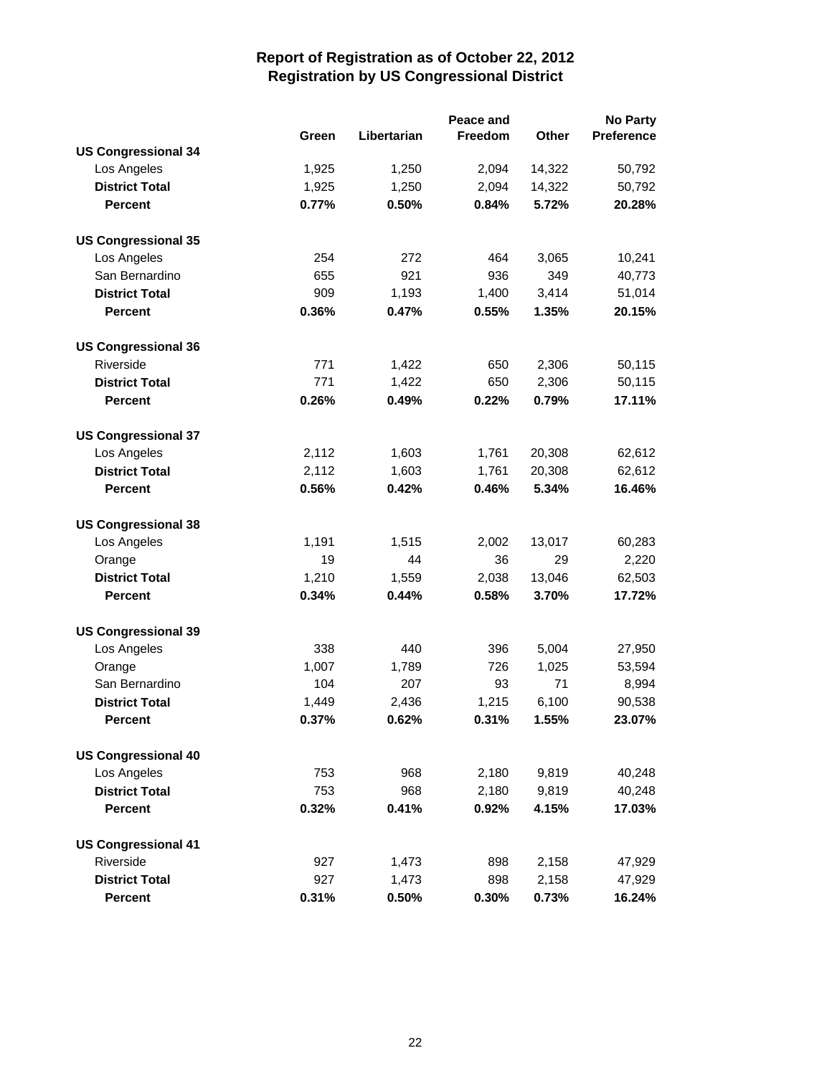|                            |       |             | Peace and |              | <b>No Party</b>   |
|----------------------------|-------|-------------|-----------|--------------|-------------------|
|                            | Green | Libertarian | Freedom   | <b>Other</b> | <b>Preference</b> |
| <b>US Congressional 34</b> |       |             |           |              |                   |
| Los Angeles                | 1,925 | 1,250       | 2,094     | 14,322       | 50,792            |
| <b>District Total</b>      | 1,925 | 1,250       | 2,094     | 14,322       | 50,792            |
| <b>Percent</b>             | 0.77% | 0.50%       | 0.84%     | 5.72%        | 20.28%            |
| <b>US Congressional 35</b> |       |             |           |              |                   |
| Los Angeles                | 254   | 272         | 464       | 3,065        | 10,241            |
| San Bernardino             | 655   | 921         | 936       | 349          | 40,773            |
| <b>District Total</b>      | 909   | 1,193       | 1,400     | 3,414        | 51,014            |
| <b>Percent</b>             | 0.36% | 0.47%       | 0.55%     | 1.35%        | 20.15%            |
| <b>US Congressional 36</b> |       |             |           |              |                   |
| Riverside                  | 771   | 1,422       | 650       | 2,306        | 50,115            |
| <b>District Total</b>      | 771   | 1,422       | 650       | 2,306        | 50,115            |
| <b>Percent</b>             | 0.26% | 0.49%       | 0.22%     | 0.79%        | 17.11%            |
| <b>US Congressional 37</b> |       |             |           |              |                   |
| Los Angeles                | 2,112 | 1,603       | 1,761     | 20,308       | 62,612            |
| <b>District Total</b>      | 2,112 | 1,603       | 1,761     | 20,308       | 62,612            |
| <b>Percent</b>             | 0.56% | 0.42%       | 0.46%     | 5.34%        | 16.46%            |
| <b>US Congressional 38</b> |       |             |           |              |                   |
| Los Angeles                | 1,191 | 1,515       | 2,002     | 13,017       | 60,283            |
| Orange                     | 19    | 44          | 36        | 29           | 2,220             |
| <b>District Total</b>      | 1,210 | 1,559       | 2,038     | 13,046       | 62,503            |
| <b>Percent</b>             | 0.34% | 0.44%       | 0.58%     | 3.70%        | 17.72%            |
| <b>US Congressional 39</b> |       |             |           |              |                   |
| Los Angeles                | 338   | 440         | 396       | 5,004        | 27,950            |
| Orange                     | 1,007 | 1,789       | 726       | 1,025        | 53,594            |
| San Bernardino             | 104   | 207         | 93        | 71           | 8,994             |
| <b>District Total</b>      | 1,449 | 2,436       | 1,215     | 6,100        | 90,538            |
| <b>Percent</b>             | 0.37% | 0.62%       | 0.31%     | 1.55%        | 23.07%            |
| <b>US Congressional 40</b> |       |             |           |              |                   |
| Los Angeles                | 753   | 968         | 2,180     | 9,819        | 40,248            |
| <b>District Total</b>      | 753   | 968         | 2,180     | 9,819        | 40,248            |
| <b>Percent</b>             | 0.32% | 0.41%       | 0.92%     | 4.15%        | 17.03%            |
| <b>US Congressional 41</b> |       |             |           |              |                   |
| Riverside                  | 927   | 1,473       | 898       | 2,158        | 47,929            |
| <b>District Total</b>      | 927   | 1,473       | 898       | 2,158        | 47,929            |
| <b>Percent</b>             | 0.31% | 0.50%       | 0.30%     | 0.73%        | 16.24%            |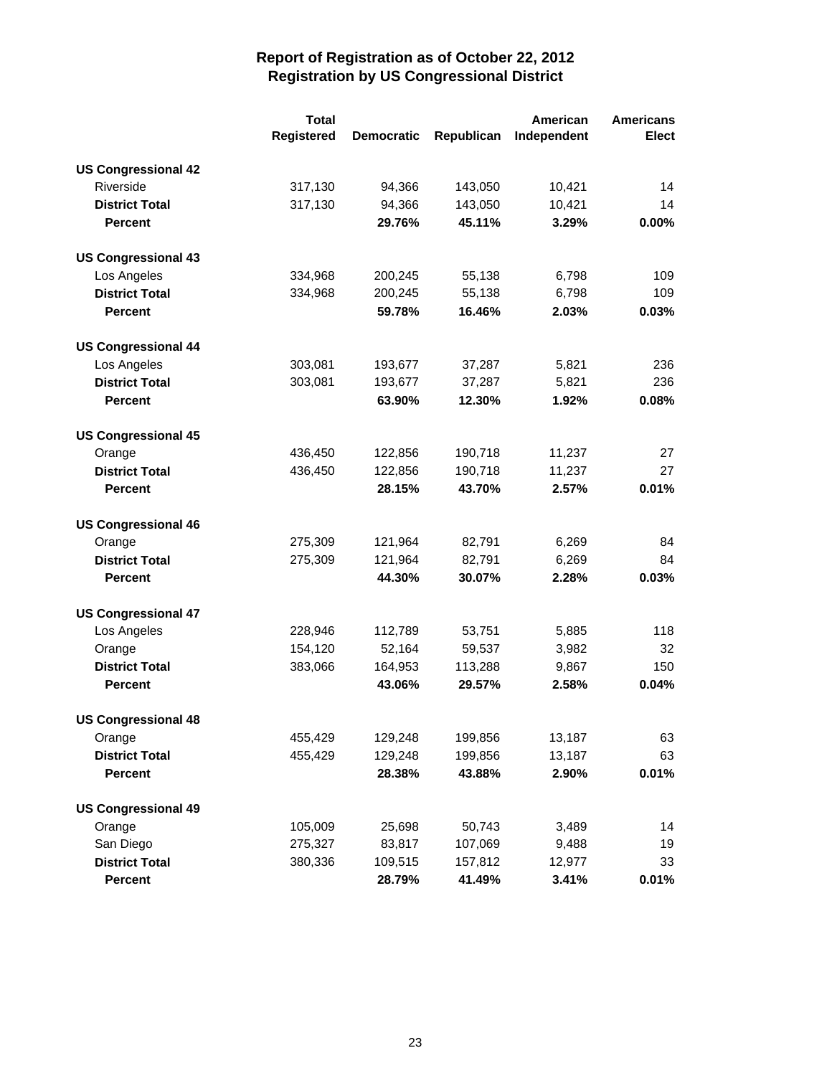|                            | <b>Total</b> |                   |            | American    | <b>Americans</b> |
|----------------------------|--------------|-------------------|------------|-------------|------------------|
|                            | Registered   | <b>Democratic</b> | Republican | Independent | Elect            |
| <b>US Congressional 42</b> |              |                   |            |             |                  |
| Riverside                  | 317,130      | 94,366            | 143,050    | 10,421      | 14               |
| <b>District Total</b>      | 317,130      | 94,366            | 143,050    | 10,421      | 14               |
| <b>Percent</b>             |              | 29.76%            | 45.11%     | 3.29%       | 0.00%            |
| <b>US Congressional 43</b> |              |                   |            |             |                  |
| Los Angeles                | 334,968      | 200,245           | 55,138     | 6,798       | 109              |
| <b>District Total</b>      | 334,968      | 200,245           | 55,138     | 6,798       | 109              |
| <b>Percent</b>             |              | 59.78%            | 16.46%     | 2.03%       | 0.03%            |
| <b>US Congressional 44</b> |              |                   |            |             |                  |
| Los Angeles                | 303,081      | 193,677           | 37,287     | 5,821       | 236              |
| <b>District Total</b>      | 303,081      | 193,677           | 37,287     | 5,821       | 236              |
| <b>Percent</b>             |              | 63.90%            | 12.30%     | 1.92%       | 0.08%            |
| <b>US Congressional 45</b> |              |                   |            |             |                  |
| Orange                     | 436,450      | 122,856           | 190,718    | 11,237      | 27               |
| <b>District Total</b>      | 436,450      | 122,856           | 190,718    | 11,237      | 27               |
| <b>Percent</b>             |              | 28.15%            | 43.70%     | 2.57%       | 0.01%            |
| <b>US Congressional 46</b> |              |                   |            |             |                  |
| Orange                     | 275,309      | 121,964           | 82,791     | 6,269       | 84               |
| <b>District Total</b>      | 275,309      | 121,964           | 82,791     | 6,269       | 84               |
| <b>Percent</b>             |              | 44.30%            | 30.07%     | 2.28%       | 0.03%            |
| <b>US Congressional 47</b> |              |                   |            |             |                  |
| Los Angeles                | 228,946      | 112,789           | 53,751     | 5,885       | 118              |
| Orange                     | 154,120      | 52,164            | 59,537     | 3,982       | 32               |
| <b>District Total</b>      | 383,066      | 164,953           | 113,288    | 9,867       | 150              |
| <b>Percent</b>             |              | 43.06%            | 29.57%     | 2.58%       | 0.04%            |
| <b>US Congressional 48</b> |              |                   |            |             |                  |
| Orange                     | 455,429      | 129,248           | 199,856    | 13,187      | 63               |
| <b>District Total</b>      | 455,429      | 129,248           | 199,856    | 13,187      | 63               |
| <b>Percent</b>             |              | 28.38%            | 43.88%     | 2.90%       | 0.01%            |
| <b>US Congressional 49</b> |              |                   |            |             |                  |
| Orange                     | 105,009      | 25,698            | 50,743     | 3,489       | 14               |
| San Diego                  | 275,327      | 83,817            | 107,069    | 9,488       | 19               |
| <b>District Total</b>      | 380,336      | 109,515           | 157,812    | 12,977      | 33               |
| Percent                    |              | 28.79%            | 41.49%     | 3.41%       | 0.01%            |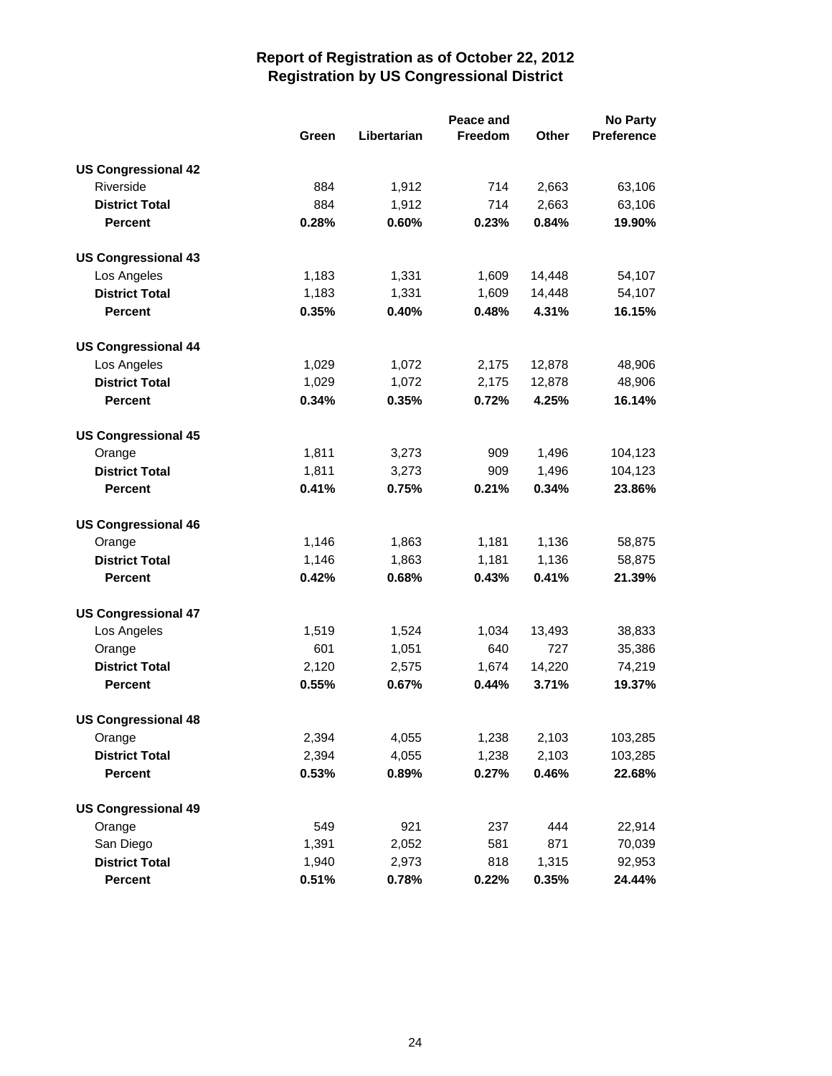|                            |       | Peace and<br><b>No Party</b> |         |              |            |
|----------------------------|-------|------------------------------|---------|--------------|------------|
|                            | Green | Libertarian                  | Freedom | <b>Other</b> | Preference |
| <b>US Congressional 42</b> |       |                              |         |              |            |
| Riverside                  | 884   | 1,912                        | 714     | 2,663        | 63,106     |
| <b>District Total</b>      | 884   | 1,912                        | 714     | 2,663        | 63,106     |
| <b>Percent</b>             | 0.28% | 0.60%                        | 0.23%   | 0.84%        | 19.90%     |
| <b>US Congressional 43</b> |       |                              |         |              |            |
| Los Angeles                | 1,183 | 1,331                        | 1,609   | 14,448       | 54,107     |
| <b>District Total</b>      | 1,183 | 1,331                        | 1,609   | 14,448       | 54,107     |
| <b>Percent</b>             | 0.35% | 0.40%                        | 0.48%   | 4.31%        | 16.15%     |
| <b>US Congressional 44</b> |       |                              |         |              |            |
| Los Angeles                | 1,029 | 1,072                        | 2,175   | 12,878       | 48,906     |
| <b>District Total</b>      | 1,029 | 1,072                        | 2,175   | 12,878       | 48,906     |
| <b>Percent</b>             | 0.34% | 0.35%                        | 0.72%   | 4.25%        | 16.14%     |
| <b>US Congressional 45</b> |       |                              |         |              |            |
| Orange                     | 1,811 | 3,273                        | 909     | 1,496        | 104,123    |
| <b>District Total</b>      | 1,811 | 3,273                        | 909     | 1,496        | 104,123    |
| <b>Percent</b>             | 0.41% | 0.75%                        | 0.21%   | 0.34%        | 23.86%     |
| <b>US Congressional 46</b> |       |                              |         |              |            |
| Orange                     | 1,146 | 1,863                        | 1,181   | 1,136        | 58,875     |
| <b>District Total</b>      | 1,146 | 1,863                        | 1,181   | 1,136        | 58,875     |
| <b>Percent</b>             | 0.42% | 0.68%                        | 0.43%   | 0.41%        | 21.39%     |
| <b>US Congressional 47</b> |       |                              |         |              |            |
| Los Angeles                | 1,519 | 1,524                        | 1,034   | 13,493       | 38,833     |
| Orange                     | 601   | 1,051                        | 640     | 727          | 35,386     |
| <b>District Total</b>      | 2,120 | 2,575                        | 1,674   | 14,220       | 74,219     |
| <b>Percent</b>             | 0.55% | 0.67%                        | 0.44%   | 3.71%        | 19.37%     |
| <b>US Congressional 48</b> |       |                              |         |              |            |
| Orange                     | 2,394 | 4,055                        | 1,238   | 2,103        | 103,285    |
| <b>District Total</b>      | 2,394 | 4,055                        | 1,238   | 2,103        | 103,285    |
| <b>Percent</b>             | 0.53% | 0.89%                        | 0.27%   | 0.46%        | 22.68%     |
| <b>US Congressional 49</b> |       |                              |         |              |            |
| Orange                     | 549   | 921                          | 237     | 444          | 22,914     |
| San Diego                  | 1,391 | 2,052                        | 581     | 871          | 70,039     |
| <b>District Total</b>      | 1,940 | 2,973                        | 818     | 1,315        | 92,953     |
| <b>Percent</b>             | 0.51% | 0.78%                        | 0.22%   | 0.35%        | 24.44%     |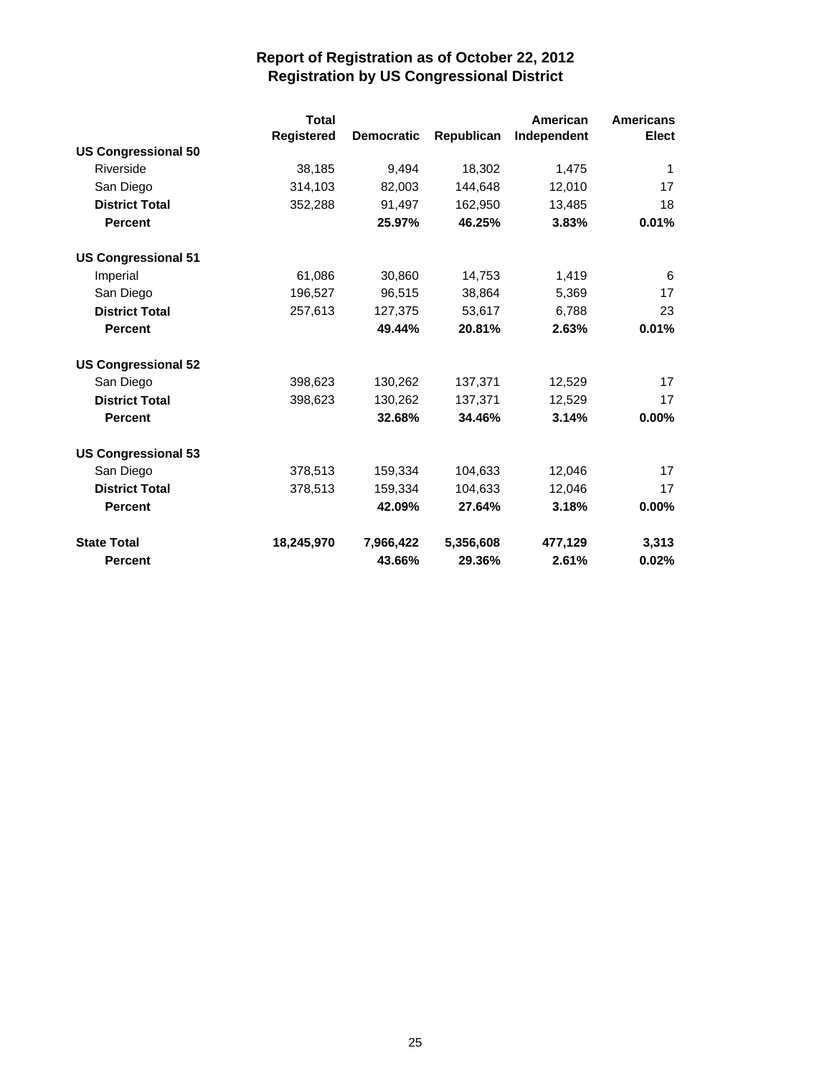|                            | <b>Total</b>      |                   |            | American    | <b>Americans</b> |
|----------------------------|-------------------|-------------------|------------|-------------|------------------|
|                            | <b>Registered</b> | <b>Democratic</b> | Republican | Independent | Elect            |
| <b>US Congressional 50</b> |                   |                   |            |             |                  |
| Riverside                  | 38,185            | 9,494             | 18,302     | 1,475       | 1                |
| San Diego                  | 314,103           | 82,003            | 144,648    | 12,010      | 17               |
| <b>District Total</b>      | 352,288           | 91,497            | 162,950    | 13,485      | 18               |
| <b>Percent</b>             |                   | 25.97%            | 46.25%     | 3.83%       | 0.01%            |
| <b>US Congressional 51</b> |                   |                   |            |             |                  |
| Imperial                   | 61,086            | 30,860            | 14,753     | 1,419       | 6                |
| San Diego                  | 196,527           | 96,515            | 38,864     | 5,369       | 17               |
| <b>District Total</b>      | 257,613           | 127,375           | 53,617     | 6,788       | 23               |
| <b>Percent</b>             |                   | 49.44%            | 20.81%     | 2.63%       | 0.01%            |
| <b>US Congressional 52</b> |                   |                   |            |             |                  |
| San Diego                  | 398,623           | 130,262           | 137,371    | 12,529      | 17               |
| <b>District Total</b>      | 398,623           | 130,262           | 137,371    | 12,529      | 17               |
| <b>Percent</b>             |                   | 32.68%            | 34.46%     | 3.14%       | $0.00\%$         |
| <b>US Congressional 53</b> |                   |                   |            |             |                  |
| San Diego                  | 378,513           | 159,334           | 104,633    | 12,046      | 17               |
| <b>District Total</b>      | 378,513           | 159,334           | 104,633    | 12,046      | 17               |
| <b>Percent</b>             |                   | 42.09%            | 27.64%     | 3.18%       | $0.00\%$         |
| <b>State Total</b>         | 18,245,970        | 7,966,422         | 5,356,608  | 477,129     | 3,313            |
| <b>Percent</b>             |                   | 43.66%            | 29.36%     | 2.61%       | 0.02%            |